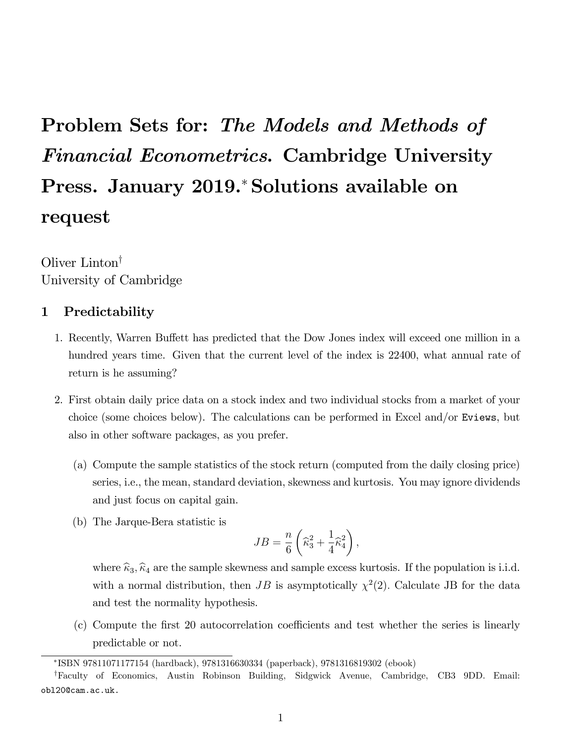# Problem Sets for: The Models and Methods of Financial Econometrics. Cambridge University Press. January 2019.\* Solutions available on request

Oliver  $Limiton^{\dagger}$ University of Cambridge

### 1 Predictability

- 1. Recently, Warren Buffett has predicted that the Dow Jones index will exceed one million in a hundred years time. Given that the current level of the index is 22400, what annual rate of return is he assuming?
- 2. First obtain daily price data on a stock index and two individual stocks from a market of your choice (some choices below). The calculations can be performed in Excel and/or Eviews, but also in other software packages, as you prefer.
	- (a) Compute the sample statistics of the stock return (computed from the daily closing price) series, i.e., the mean, standard deviation, skewness and kurtosis. You may ignore dividends and just focus on capital gain.
	- (b) The Jarque-Bera statistic is

$$
JB=\frac{n}{6}\left(\widehat{\kappa}_{3}^{2}+\frac{1}{4}\widehat{\kappa}_{4}^{2}\right),
$$

where  $\hat{\kappa}_3$ ,  $\hat{\kappa}_4$  are the sample skewness and sample excess kurtosis. If the population is i.i.d. with a normal distribution, then  $JB$  is asymptotically  $\chi^2(2)$ . Calculate JB for the data and test the normality hypothesis.

 $(c)$  Compute the first 20 autocorrelation coefficients and test whether the series is linearly predictable or not.

ISBN 97811071177154 (hardback), 9781316630334 (paperback), 9781316819302 (ebook)

<sup>y</sup>Faculty of Economics, Austin Robinson Building, Sidgwick Avenue, Cambridge, CB3 9DD. Email: obl20@cam.ac.uk.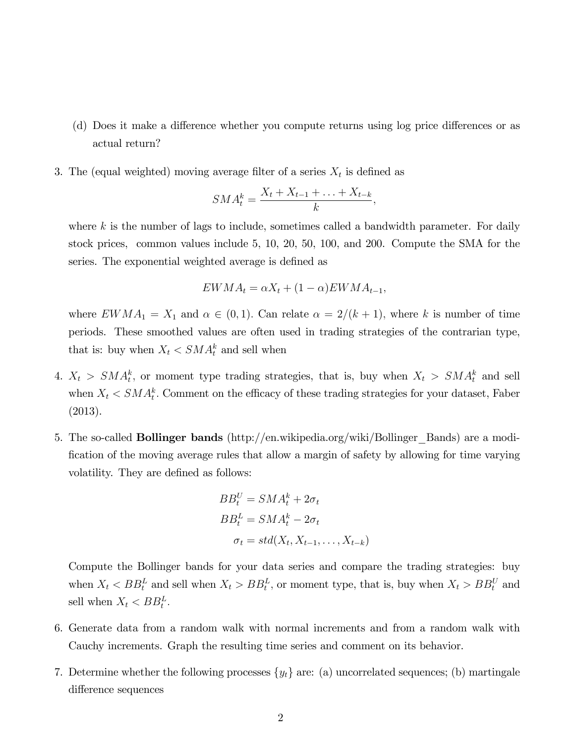- (d) Does it make a difference whether you compute returns using log price differences or as actual return?
- 3. The (equal weighted) moving average filter of a series  $X_t$  is defined as

$$
SMA_t^k = \frac{X_t + X_{t-1} + \ldots + X_{t-k}}{k},
$$

where  $k$  is the number of lags to include, sometimes called a bandwidth parameter. For daily stock prices, common values include 5, 10, 20, 50, 100, and 200. Compute the SMA for the series. The exponential weighted average is defined as

$$
EWMA_t = \alpha X_t + (1 - \alpha) EWMA_{t-1},
$$

where  $EWMA_1 = X_1$  and  $\alpha \in (0,1)$ . Can relate  $\alpha = 2/(k+1)$ , where k is number of time periods. These smoothed values are often used in trading strategies of the contrarian type, that is: buy when  $X_t < SMA_t^k$  and sell when

- 4.  $X_t > SM A_t^k$ , or moment type trading strategies, that is, buy when  $X_t > SM A_t^k$  and sell when  $X_t \leq \mathcal{S} M A_t^k$ . Comment on the efficacy of these trading strategies for your dataset, Faber (2013).
- 5. The so-called Bollinger bands (http://en.wikipedia.org/wiki/Bollinger\_Bands) are a modification of the moving average rules that allow a margin of safety by allowing for time varying volatility. They are defined as follows:

$$
BB_t^U = SMA_t^k + 2\sigma_t
$$
  
\n
$$
BB_t^L = SMA_t^k - 2\sigma_t
$$
  
\n
$$
\sigma_t = std(X_t, X_{t-1}, \dots, X_{t-k})
$$

Compute the Bollinger bands for your data series and compare the trading strategies: buy when  $X_t < BB_t^L$  and sell when  $X_t > BB_t^L$ , or moment type, that is, buy when  $X_t > BB_t^U$  and sell when  $X_t < BB_t^L$ .

- 6. Generate data from a random walk with normal increments and from a random walk with Cauchy increments. Graph the resulting time series and comment on its behavior.
- 7. Determine whether the following processes  $\{y_t\}$  are: (a) uncorrelated sequences; (b) martingale difference sequences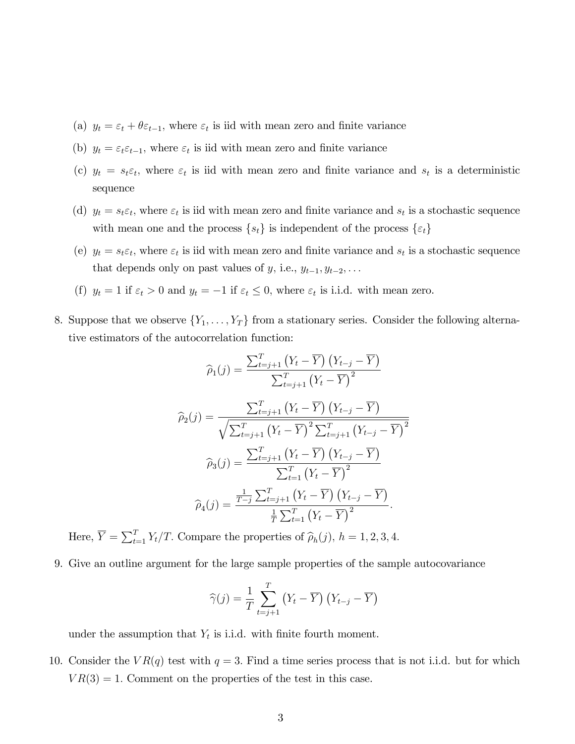- (a)  $y_t = \varepsilon_t + \theta \varepsilon_{t-1}$ , where  $\varepsilon_t$  is iid with mean zero and finite variance
- (b)  $y_t = \varepsilon_t \varepsilon_{t-1}$ , where  $\varepsilon_t$  is iid with mean zero and finite variance
- (c)  $y_t = s_t \varepsilon_t$ , where  $\varepsilon_t$  is iid with mean zero and finite variance and  $s_t$  is a deterministic sequence
- (d)  $y_t = s_t \varepsilon_t$ , where  $\varepsilon_t$  is iid with mean zero and finite variance and  $s_t$  is a stochastic sequence with mean one and the process  $\{s_t\}$  is independent of the process  $\{\varepsilon_t\}$
- (e)  $y_t = s_t \varepsilon_t$ , where  $\varepsilon_t$  is iid with mean zero and finite variance and  $s_t$  is a stochastic sequence that depends only on past values of y, i.e.,  $y_{t-1}, y_{t-2}, \ldots$
- (f)  $y_t = 1$  if  $\varepsilon_t > 0$  and  $y_t = -1$  if  $\varepsilon_t \leq 0$ , where  $\varepsilon_t$  is i.i.d. with mean zero.
- 8. Suppose that we observe  $\{Y_1, \ldots, Y_T\}$  from a stationary series. Consider the following alternative estimators of the autocorrelation function:

$$
\widehat{\rho}_{1}(j) = \frac{\sum_{t=j+1}^{T} (Y_{t} - \overline{Y}) (Y_{t-j} - \overline{Y})}{\sum_{t=j+1}^{T} (Y_{t} - \overline{Y})^{2}}
$$

$$
\widehat{\rho}_{2}(j) = \frac{\sum_{t=j+1}^{T} (Y_{t} - \overline{Y}) (Y_{t-j} - \overline{Y})}{\sqrt{\sum_{t=j+1}^{T} (Y_{t} - \overline{Y})^{2} \sum_{t=j+1}^{T} (Y_{t-j} - \overline{Y})^{2}}}
$$

$$
\widehat{\rho}_{3}(j) = \frac{\sum_{t=j+1}^{T} (Y_{t} - \overline{Y}) (Y_{t-j} - \overline{Y})}{\sum_{t=1}^{T} (Y_{t} - \overline{Y})^{2}}
$$

$$
\widehat{\rho}_{4}(j) = \frac{\frac{1}{T-j} \sum_{t=j+1}^{T} (Y_{t} - \overline{Y}) (Y_{t-j} - \overline{Y})}{\frac{1}{T} \sum_{t=1}^{T} (Y_{t} - \overline{Y})^{2}}.
$$

Here,  $\overline{Y} = \sum_{t=1}^{T} Y_t / T$ . Compare the properties of  $\widehat{\rho}_h(j)$ ,  $h = 1, 2, 3, 4$ .

9. Give an outline argument for the large sample properties of the sample autocovariance

$$
\widehat{\gamma}(j) = \frac{1}{T} \sum_{t=j+1}^{T} (Y_t - \overline{Y}) (Y_{t-j} - \overline{Y})
$$

under the assumption that  $Y_t$  is i.i.d. with finite fourth moment.

10. Consider the  $VR(q)$  test with  $q = 3$ . Find a time series process that is not i.i.d. but for which  $VR(3) = 1.$  Comment on the properties of the test in this case.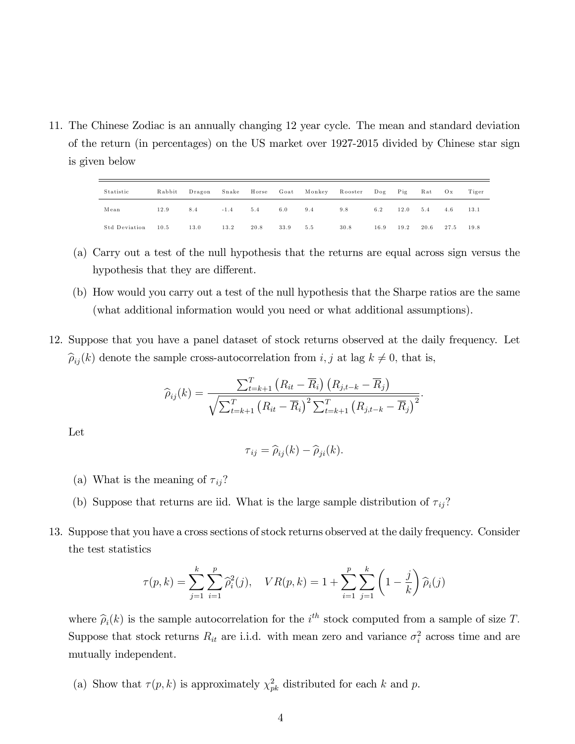11. The Chinese Zodiac is an annually changing 12 year cycle. The mean and standard deviation of the return (in percentages) on the US market over 1927-2015 divided by Chinese star sign is given below

| Statistic     | Rabbit | Dragon | Snake  | Horse |      | Goat Monkey | Rooster | $\log$ Pig |      | Rat  | O <sub>X</sub> | Tiger |
|---------------|--------|--------|--------|-------|------|-------------|---------|------------|------|------|----------------|-------|
| Mean          | 12.9   | 8.4    | $-1.4$ | 5.4   | 6.0  | 9.4         | 9.8     | 6.2        | 12.0 | 5.4  | 4.6            | 13.1  |
| Std Deviation | 10.5   | 13.0   | 13.2   | 20.8  | 33.9 | 5.5         | 30.8    | 16.9       | 19.2 | 20.6 | 27.5           | 19.8  |

- (a) Carry out a test of the null hypothesis that the returns are equal across sign versus the hypothesis that they are different.
- (b) How would you carry out a test of the null hypothesis that the Sharpe ratios are the same (what additional information would you need or what additional assumptions).
- 12. Suppose that you have a panel dataset of stock returns observed at the daily frequency. Let  $\hat{\rho}_{ij}(k)$  denote the sample cross-autocorrelation from i, j at lag  $k \neq 0$ , that is,

$$
\widehat{\rho}_{ij}(k) = \frac{\sum_{t=k+1}^{T} (R_{it} - \overline{R}_{i}) (R_{j,t-k} - \overline{R}_{j})}{\sqrt{\sum_{t=k+1}^{T} (R_{it} - \overline{R}_{i})^{2} \sum_{t=k+1}^{T} (R_{j,t-k} - \overline{R}_{j})^{2}}}.
$$

Let

$$
\tau_{ij} = \widehat{\rho}_{ij}(k) - \widehat{\rho}_{ji}(k).
$$

- (a) What is the meaning of  $\tau_{ij}$ ?
- (b) Suppose that returns are iid. What is the large sample distribution of  $\tau_{ij}$ ?
- 13. Suppose that you have a cross sections of stock returns observed at the daily frequency. Consider the test statistics

$$
\tau(p,k) = \sum_{j=1}^{k} \sum_{i=1}^{p} \widehat{\rho}_{i}^{2}(j), \quad VR(p,k) = 1 + \sum_{i=1}^{p} \sum_{j=1}^{k} \left(1 - \frac{j}{k}\right) \widehat{\rho}_{i}(j)
$$

where  $\hat{\rho}_i(k)$  is the sample autocorrelation for the  $i^{th}$  stock computed from a sample of size T. Suppose that stock returns  $R_{it}$  are i.i.d. with mean zero and variance  $\sigma_i^2$  across time and are mutually independent.

(a) Show that  $\tau(p, k)$  is approximately  $\chi^2_{pk}$  distributed for each k and p.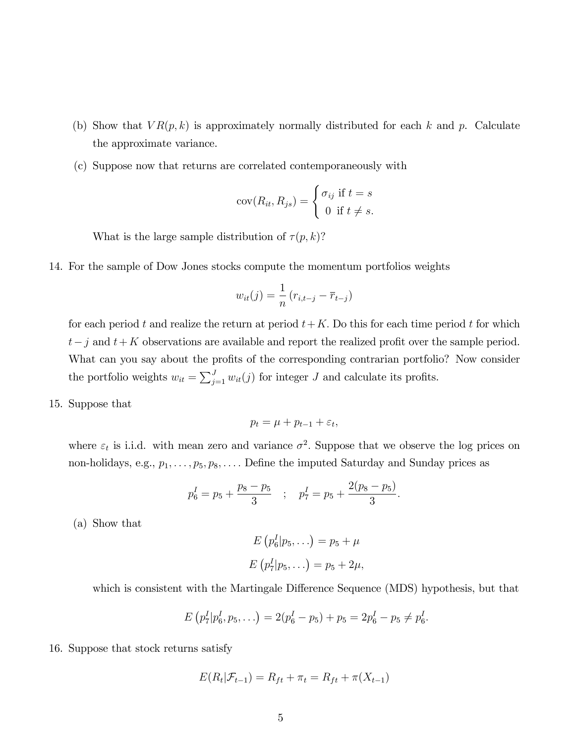- (b) Show that  $VR(p, k)$  is approximately normally distributed for each k and p. Calculate the approximate variance.
- (c) Suppose now that returns are correlated contemporaneously with

$$
cov(R_{it}, R_{js}) = \begin{cases} \sigma_{ij} & \text{if } t = s \\ 0 & \text{if } t \neq s. \end{cases}
$$

What is the large sample distribution of  $\tau(p, k)$ ?

14. For the sample of Dow Jones stocks compute the momentum portfolios weights

$$
w_{it}(j) = \frac{1}{n} (r_{i,t-j} - \overline{r}_{t-j})
$$

for each period t and realize the return at period  $t+K$ . Do this for each time period t for which  $t-j$  and  $t+K$  observations are available and report the realized profit over the sample period. What can you say about the profits of the corresponding contrarian portfolio? Now consider the portfolio weights  $w_{it} = \sum_{j=1}^{J} w_{it}(j)$  for integer J and calculate its profits.

15. Suppose that

$$
p_t = \mu + p_{t-1} + \varepsilon_t,
$$

where  $\varepsilon_t$  is i.i.d. with mean zero and variance  $\sigma^2$ . Suppose that we observe the log prices on non-holidays, e.g.,  $p_1, \ldots, p_5, p_8, \ldots$ . Define the imputed Saturday and Sunday prices as

$$
p_6^I = p_5 + \frac{p_8 - p_5}{3}
$$
;  $p_7^I = p_5 + \frac{2(p_8 - p_5)}{3}$ .

(a) Show that

$$
E(p6I|p5,...)=p5 + \mu
$$
  

$$
E(p7I|p5,...)=p5 + 2\mu,
$$

which is consistent with the Martingale Difference Sequence (MDS) hypothesis, but that

$$
E(p_7^I|p_6^I,p_5,\ldots)=2(p_6^I-p_5)+p_5=2p_6^I-p_5\neq p_6^I.
$$

16. Suppose that stock returns satisfy

$$
E(R_t|\mathcal{F}_{t-1}) = R_{ft} + \pi_t = R_{ft} + \pi(X_{t-1})
$$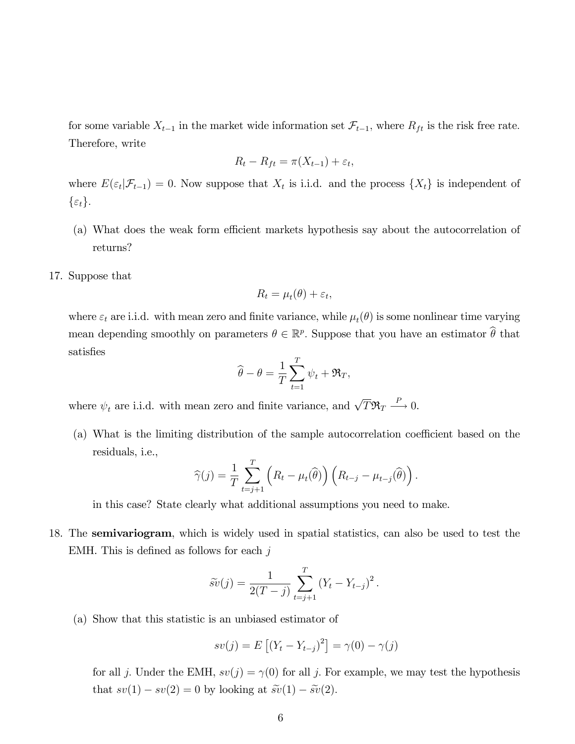for some variable  $X_{t-1}$  in the market wide information set  $\mathcal{F}_{t-1}$ , where  $R_{ft}$  is the risk free rate. Therefore, write

$$
R_t - R_{ft} = \pi(X_{t-1}) + \varepsilon_t,
$$

where  $E(\varepsilon_t|\mathcal{F}_{t-1}) = 0$ . Now suppose that  $X_t$  is i.i.d. and the process  $\{X_t\}$  is independent of  $\{\varepsilon_t\}.$ 

- (a) What does the weak form efficient markets hypothesis say about the autocorrelation of returns?
- 17. Suppose that

$$
R_t = \mu_t(\theta) + \varepsilon_t,
$$

where  $\varepsilon_t$  are i.i.d. with mean zero and finite variance, while  $\mu_t(\theta)$  is some nonlinear time varying mean depending smoothly on parameters  $\theta \in \mathbb{R}^p$ . Suppose that you have an estimator  $\hat{\theta}$  that satisfies

$$
\widehat{\theta} - \theta = \frac{1}{T} \sum_{t=1}^{T} \psi_t + \Re_T,
$$

where  $\psi_t$  are i.i.d. with mean zero and finite variance, and  $\sqrt{T} \mathfrak{R}_T \stackrel{P}{\longrightarrow} 0$ .

 $(a)$  What is the limiting distribution of the sample autocorrelation coefficient based on the residuals, i.e.,

$$
\widehat{\gamma}(j) = \frac{1}{T} \sum_{t=j+1}^{T} \left( R_t - \mu_t(\widehat{\theta}) \right) \left( R_{t-j} - \mu_{t-j}(\widehat{\theta}) \right).
$$

in this case? State clearly what additional assumptions you need to make.

18. The semivariogram, which is widely used in spatial statistics, can also be used to test the EMH. This is defined as follows for each  $j$ 

$$
\widetilde{sv}(j) = \frac{1}{2(T-j)} \sum_{t=j+1}^{T} (Y_t - Y_{t-j})^2.
$$

(a) Show that this statistic is an unbiased estimator of

$$
sv(j) = E [(Y_t - Y_{t-j})^2] = \gamma(0) - \gamma(j)
$$

for all j. Under the EMH,  $sv(j) = \gamma(0)$  for all j. For example, we may test the hypothesis that  $sv(1) - sv(2) = 0$  by looking at  $\widetilde{sv}(1) - \widetilde{sv}(2)$ .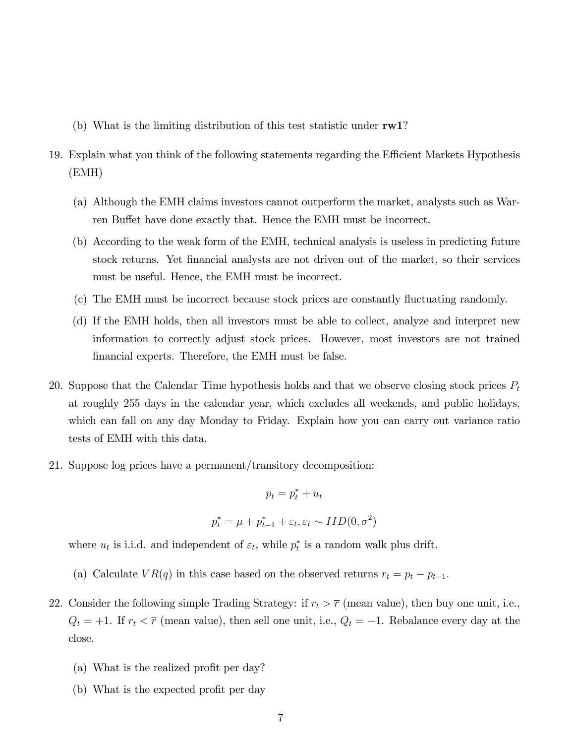- (b) What is the limiting distribution of this test statistic under rw1?
- 19. Explain what you think of the following statements regarding the Efficient Markets Hypothesis (EMH)
	- (a) Although the EMH claims investors cannot outperform the market, analysts such as Warren Buffet have done exactly that. Hence the EMH must be incorrect.
	- (b) According to the weak form of the EMH, technical analysis is useless in predicting future stock returns. Yet Önancial analysts are not driven out of the market, so their services must be useful. Hence, the EMH must be incorrect.
	- (c) The EMH must be incorrect because stock prices are constantly fluctuating randomly.
	- (d) If the EMH holds, then all investors must be able to collect, analyze and interpret new information to correctly adjust stock prices. However, most investors are not trained financial experts. Therefore, the EMH must be false.
- 20. Suppose that the Calendar Time hypothesis holds and that we observe closing stock prices  $P_t$ at roughly 255 days in the calendar year, which excludes all weekends, and public holidays, which can fall on any day Monday to Friday. Explain how you can carry out variance ratio tests of EMH with this data.
- 21. Suppose log prices have a permanent/transitory decomposition:

$$
p_t = p_t^* + u_t
$$
  

$$
p_t^* = \mu + p_{t-1}^* + \varepsilon_t, \varepsilon_t \sim IID(0, \sigma^2)
$$

where  $u_t$  is i.i.d. and independent of  $\varepsilon_t$ , while  $p_t^*$  is a random walk plus drift.

- (a) Calculate  $VR(q)$  in this case based on the observed returns  $r_t = p_t p_{t-1}$ .
- 22. Consider the following simple Trading Strategy: if  $r_t > \overline{r}$  (mean value), then buy one unit, i.e.,  $Q_t = +1$ . If  $r_t < \overline{r}$  (mean value), then sell one unit, i.e.,  $Q_t = -1$ . Rebalance every day at the close.
	- (a) What is the realized profit per day?
	- (b) What is the expected profit per day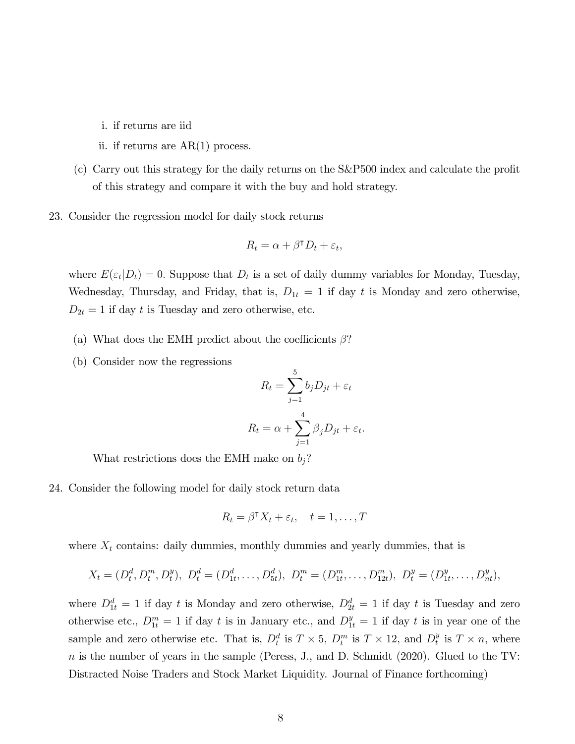- i. if returns are iid
- ii. if returns are AR(1) process.
- $(c)$  Carry out this strategy for the daily returns on the S&P500 index and calculate the profit of this strategy and compare it with the buy and hold strategy.
- 23. Consider the regression model for daily stock returns

$$
R_t = \alpha + \beta^{\mathsf{T}} D_t + \varepsilon_t,
$$

where  $E(\varepsilon_t|D_t) = 0$ . Suppose that  $D_t$  is a set of daily dummy variables for Monday, Tuesday, Wednesday, Thursday, and Friday, that is,  $D_{1t} = 1$  if day t is Monday and zero otherwise,  $D_{2t} = 1$  if day t is Tuesday and zero otherwise, etc.

- (a) What does the EMH predict about the coefficients  $\beta$ ?
- (b) Consider now the regressions

$$
R_t = \sum_{j=1}^{5} b_j D_{jt} + \varepsilon_t
$$

$$
R_t = \alpha + \sum_{j=1}^{4} \beta_j D_{jt} + \varepsilon_t
$$

:

What restrictions does the EMH make on  $b_j$ ?

24. Consider the following model for daily stock return data

$$
R_t = \beta^{\mathsf{T}} X_t + \varepsilon_t, \quad t = 1, \dots, T
$$

where  $X_t$  contains: daily dummies, monthly dummies and yearly dummies, that is

$$
X_t = (D_t^d, D_t^m, D_t^y), \ D_t^d = (D_{1t}^d, \dots, D_{5t}^d), \ D_t^m = (D_{1t}^m, \dots, D_{12t}^m), \ D_t^y = (D_{1t}^y, \dots, D_{nt}^y),
$$

where  $D_{1t}^d = 1$  if day t is Monday and zero otherwise,  $D_{2t}^d = 1$  if day t is Tuesday and zero otherwise etc.,  $D_{1t}^m = 1$  if day t is in January etc., and  $D_{1t}^y = 1$  if day t is in year one of the sample and zero otherwise etc. That is,  $D_t^d$  is  $T \times 5$ ,  $D_t^m$  is  $T \times 12$ , and  $D_t^y$  $_t^y$  is  $T \times n$ , where  $n$  is the number of years in the sample (Peress, J., and D. Schmidt (2020). Glued to the TV: Distracted Noise Traders and Stock Market Liquidity. Journal of Finance forthcoming)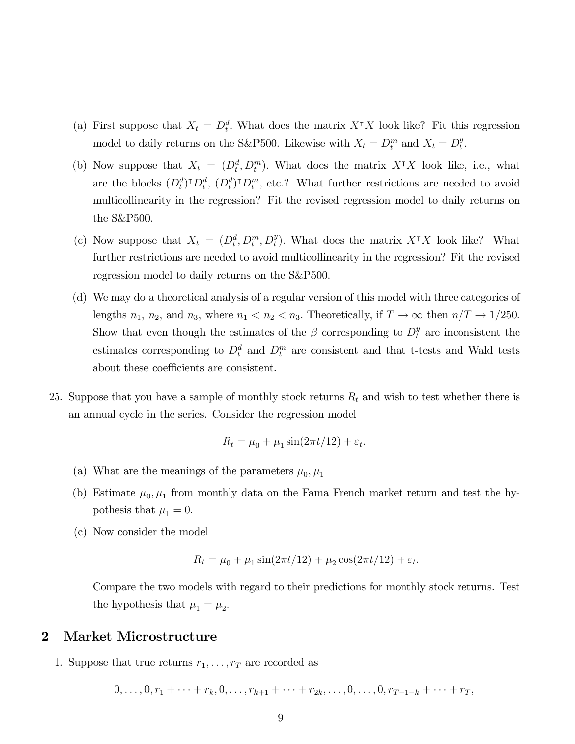- (a) First suppose that  $X_t = D_t^d$ . What does the matrix  $X^{\dagger} X$  look like? Fit this regression model to daily returns on the S&P500. Likewise with  $X_t = D_t^m$  and  $X_t = D_t^y$  $_t^y$ .
- (b) Now suppose that  $X_t = (D_t^d, D_t^m)$ . What does the matrix  $X^{\dagger} X$  look like, i.e., what are the blocks  $(D_t^d)^\intercal D_t^d$ ,  $(D_t^d)^\intercal D_t^m$ , etc.? What further restrictions are needed to avoid multicollinearity in the regression? Fit the revised regression model to daily returns on the S&P500.
- (c) Now suppose that  $X_t = (D_t^d, D_t^m, D_t^y)$ . What does the matrix  $X^{\dagger}X$  look like? What further restrictions are needed to avoid multicollinearity in the regression? Fit the revised regression model to daily returns on the S&P500.
- (d) We may do a theoretical analysis of a regular version of this model with three categories of lengths  $n_1$ ,  $n_2$ , and  $n_3$ , where  $n_1 < n_2 < n_3$ . Theoretically, if  $T \to \infty$  then  $n/T \to 1/250$ . Show that even though the estimates of the  $\beta$  corresponding to  $D_t^y$  are inconsistent the estimates corresponding to  $D_t^d$  and  $D_t^m$  are consistent and that t-tests and Wald tests about these coefficients are consistent.
- 25. Suppose that you have a sample of monthly stock returns  $R_t$  and wish to test whether there is an annual cycle in the series. Consider the regression model

$$
R_t = \mu_0 + \mu_1 \sin(2\pi t/12) + \varepsilon_t.
$$

- (a) What are the meanings of the parameters  $\mu_0, \mu_1$
- (b) Estimate  $\mu_0, \mu_1$  from monthly data on the Fama French market return and test the hypothesis that  $\mu_1 = 0$ .
- (c) Now consider the model

$$
R_t = \mu_0 + \mu_1 \sin(2\pi t/12) + \mu_2 \cos(2\pi t/12) + \varepsilon_t.
$$

Compare the two models with regard to their predictions for monthly stock returns. Test the hypothesis that  $\mu_1 = \mu_2$ .

#### 2 Market Microstructure

1. Suppose that true returns  $r_1, \ldots, r_T$  are recorded as

$$
0, \ldots, 0, r_1 + \cdots + r_k, 0, \ldots, r_{k+1} + \cdots + r_{2k}, \ldots, 0, \ldots, 0, r_{T+1-k} + \cdots + r_T,
$$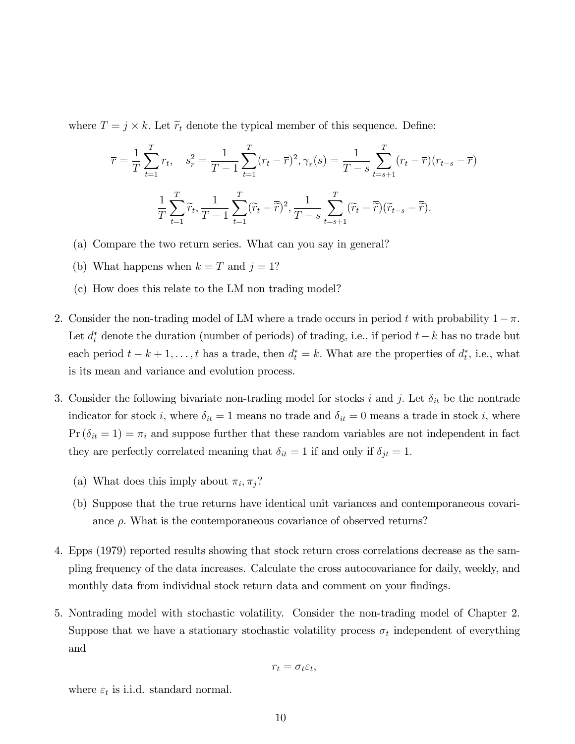where  $T = j \times k$ . Let  $\widetilde{r}_t$  denote the typical member of this sequence. Define:

$$
\overline{r} = \frac{1}{T} \sum_{t=1}^{T} r_t, \quad s_r^2 = \frac{1}{T-1} \sum_{t=1}^{T} (r_t - \overline{r})^2, \gamma_r(s) = \frac{1}{T-s} \sum_{t=s+1}^{T} (r_t - \overline{r})(r_{t-s} - \overline{r})
$$

$$
\frac{1}{T} \sum_{t=1}^{T} \widetilde{r}_t, \frac{1}{T-1} \sum_{t=1}^{T} (\widetilde{r}_t - \overline{\widetilde{r}})^2, \frac{1}{T-s} \sum_{t=s+1}^{T} (\widetilde{r}_t - \overline{\widetilde{r}})(\widetilde{r}_{t-s} - \overline{\widetilde{r}}).
$$

- (a) Compare the two return series. What can you say in general?
- (b) What happens when  $k = T$  and  $j = 1$ ?
- (c) How does this relate to the LM non trading model?
- 2. Consider the non-trading model of LM where a trade occurs in period t with probability  $1 \pi$ . Let  $d_t^*$  denote the duration (number of periods) of trading, i.e., if period  $t - k$  has no trade but each period  $t - k + 1, \ldots, t$  has a trade, then  $d_t^* = k$ . What are the properties of  $d_t^*$ , i.e., what is its mean and variance and evolution process.
- 3. Consider the following bivariate non-trading model for stocks i and j. Let  $\delta_{it}$  be the nontrade indicator for stock i, where  $\delta_{it} = 1$  means no trade and  $\delta_{it} = 0$  means a trade in stock i, where  $Pr(\delta_{it} = 1) = \pi_i$  and suppose further that these random variables are not independent in fact they are perfectly correlated meaning that  $\delta_{it} = 1$  if and only if  $\delta_{jt} = 1$ .
	- (a) What does this imply about  $\pi_i, \pi_j$ ?
	- (b) Suppose that the true returns have identical unit variances and contemporaneous covariance  $\rho$ . What is the contemporaneous covariance of observed returns?
- 4. Epps (1979) reported results showing that stock return cross correlations decrease as the sampling frequency of the data increases. Calculate the cross autocovariance for daily, weekly, and monthly data from individual stock return data and comment on your findings.
- 5. Nontrading model with stochastic volatility. Consider the non-trading model of Chapter 2. Suppose that we have a stationary stochastic volatility process  $\sigma_t$  independent of everything and

$$
r_t = \sigma_t \varepsilon_t,
$$

where  $\varepsilon_t$  is i.i.d. standard normal.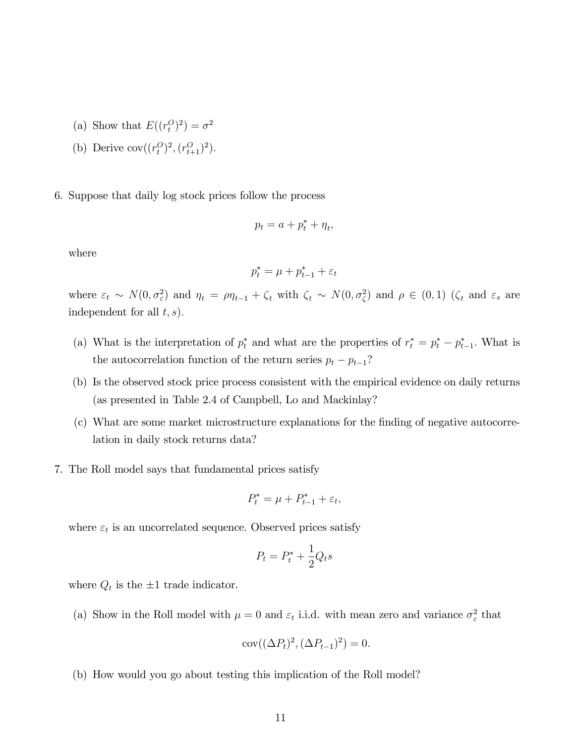- (a) Show that  $E((r_t^O)^2) = \sigma^2$
- (b) Derive  $cov((r_t^O)^2, (r_{t+1}^O)^2)$ .
- 6. Suppose that daily log stock prices follow the process

$$
p_t = a + p_t^* + \eta_t,
$$

where

$$
p_t^* = \mu + p_{t-1}^* + \varepsilon_t
$$

where  $\varepsilon_t \sim N(0, \sigma_{\varepsilon}^2)$  and  $\eta_t = \rho \eta_{t-1} + \zeta_t$  with  $\zeta_t \sim N(0, \sigma_{\zeta}^2)$  and  $\rho \in (0, 1)$  ( $\zeta_t$  and  $\varepsilon_s$  are independent for all  $t, s$ .

- (a) What is the interpretation of  $p_t^*$  and what are the properties of  $r_t^* = p_t^* p_{t-1}^*$ . What is the autocorrelation function of the return series  $p_t - p_{t-1}$ ?
- (b) Is the observed stock price process consistent with the empirical evidence on daily returns (as presented in Table 2.4 of Campbell, Lo and Mackinlay?
- (c) What are some market microstructure explanations for the Önding of negative autocorrelation in daily stock returns data?
- 7. The Roll model says that fundamental prices satisfy

$$
P_t^* = \mu + P_{t-1}^* + \varepsilon_t,
$$

where  $\varepsilon_t$  is an uncorrelated sequence. Observed prices satisfy

$$
P_t = P_t^* + \frac{1}{2}Q_ts
$$

where  $Q_t$  is the  $\pm 1$  trade indicator.

(a) Show in the Roll model with  $\mu = 0$  and  $\varepsilon_t$  i.i.d. with mean zero and variance  $\sigma_{\varepsilon}^2$  that

$$
cov((\Delta P_t)^2, (\Delta P_{t-1})^2) = 0.
$$

(b) How would you go about testing this implication of the Roll model?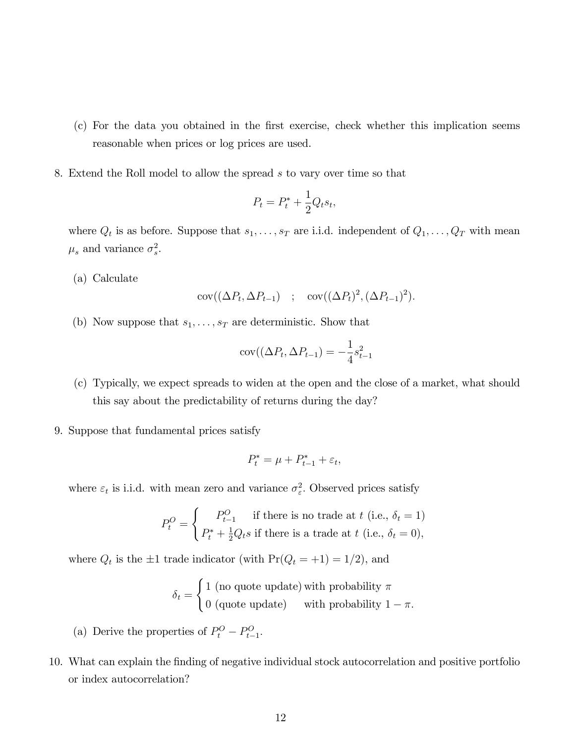- (c) For the data you obtained in the Örst exercise, check whether this implication seems reasonable when prices or log prices are used.
- 8. Extend the Roll model to allow the spread s to vary over time so that

$$
P_t = P_t^* + \frac{1}{2}Q_ts_t,
$$

where  $Q_t$  is as before. Suppose that  $s_1, \ldots, s_T$  are i.i.d. independent of  $Q_1, \ldots, Q_T$  with mean  $\mu_s$  and variance  $\sigma_s^2$ .

(a) Calculate

$$
cov((\Delta P_t, \Delta P_{t-1}) \quad ; \quad cov((\Delta P_t)^2, (\Delta P_{t-1})^2).
$$

(b) Now suppose that  $s_1, \ldots, s_T$  are deterministic. Show that

$$
cov((\Delta P_t, \Delta P_{t-1}) = -\frac{1}{4}s_{t-1}^2
$$

- (c) Typically, we expect spreads to widen at the open and the close of a market, what should this say about the predictability of returns during the day?
- 9. Suppose that fundamental prices satisfy

$$
P_t^* = \mu + P_{t-1}^* + \varepsilon_t,
$$

where  $\varepsilon_t$  is i.i.d. with mean zero and variance  $\sigma_{\varepsilon}^2$ . Observed prices satisfy

$$
P_t^O = \begin{cases} P_{t-1}^O & \text{if there is no trade at } t \text{ (i.e., } \delta_t = 1) \\ P_t^* + \frac{1}{2} Q_t s & \text{if there is a trade at } t \text{ (i.e., } \delta_t = 0), \end{cases}
$$

where  $Q_t$  is the  $\pm 1$  trade indicator (with  $Pr(Q_t = +1) = 1/2$ ), and

$$
\delta_t = \begin{cases} 1 \text{ (no quote update) with probability } \pi \\ 0 \text{ (quote update)} \quad \text{with probability } 1 - \pi. \end{cases}
$$

- (a) Derive the properties of  $P_t^O P_{t-1}^O$ .
- 10. What can explain the Önding of negative individual stock autocorrelation and positive portfolio or index autocorrelation?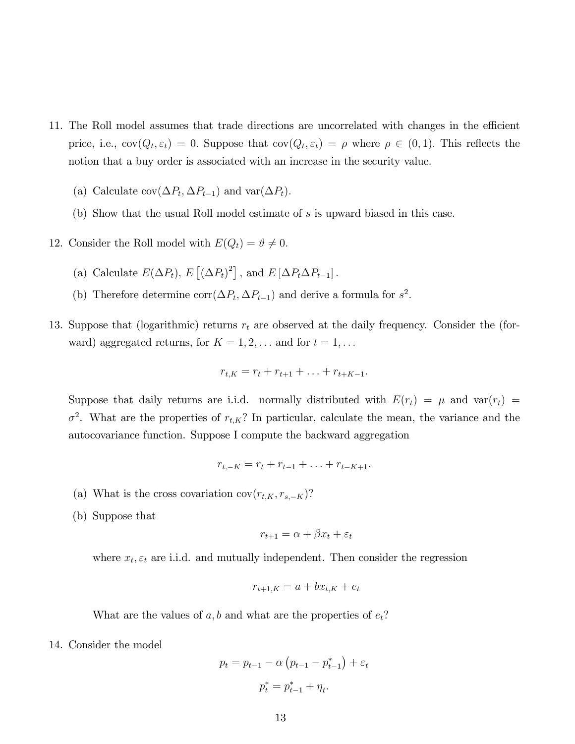- 11. The Roll model assumes that trade directions are uncorrelated with changes in the efficient price, i.e.,  $cov(Q_t, \varepsilon_t) = 0$ . Suppose that  $cov(Q_t, \varepsilon_t) = \rho$  where  $\rho \in (0, 1)$ . This reflects the notion that a buy order is associated with an increase in the security value.
	- (a) Calculate  $cov(\Delta P_t, \Delta P_{t-1})$  and  $var(\Delta P_t)$ .
	- (b) Show that the usual Roll model estimate of s is upward biased in this case.
- 12. Consider the Roll model with  $E(Q_t) = \vartheta \neq 0$ .
	- (a) Calculate  $E(\Delta P_t)$ ,  $E[(\Delta P_t)^2]$ , and  $E[\Delta P_t \Delta P_{t-1}]$ .
	- (b) Therefore determine  $\text{corr}(\Delta P_t, \Delta P_{t-1})$  and derive a formula for  $s^2$ .
- 13. Suppose that (logarithmic) returns  $r_t$  are observed at the daily frequency. Consider the (forward) aggregated returns, for  $K = 1, 2, \ldots$  and for  $t = 1, \ldots$

$$
r_{t,K} = r_t + r_{t+1} + \ldots + r_{t+K-1}.
$$

Suppose that daily returns are i.i.d. normally distributed with  $E(r_t) = \mu$  and  $var(r_t) =$  $\sigma^2$ . What are the properties of  $r_{t,K}$ ? In particular, calculate the mean, the variance and the autocovariance function. Suppose I compute the backward aggregation

$$
r_{t,-K} = r_t + r_{t-1} + \ldots + r_{t-K+1}.
$$

- (a) What is the cross covariation  $cov(r_{t,K}, r_{s,-K})$ ?
- (b) Suppose that

$$
r_{t+1} = \alpha + \beta x_t + \varepsilon_t
$$

where  $x_t, \varepsilon_t$  are i.i.d. and mutually independent. Then consider the regression

$$
r_{t+1,K} = a + bx_{t,K} + e_t
$$

What are the values of  $a, b$  and what are the properties of  $e_t$ ?

14. Consider the model

$$
p_t = p_{t-1} - \alpha \left( p_{t-1} - p_{t-1}^* \right) + \varepsilon_t
$$

$$
p_t^* = p_{t-1}^* + \eta_t.
$$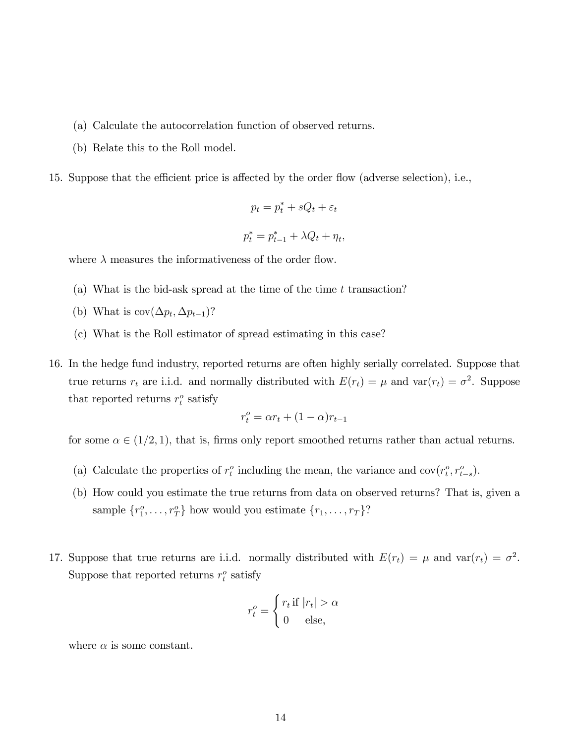- (a) Calculate the autocorrelation function of observed returns.
- (b) Relate this to the Roll model.
- 15. Suppose that the efficient price is affected by the order flow (adverse selection), i.e.,

$$
p_t = p_t^* + sQ_t + \varepsilon_t
$$

$$
p_t^* = p_{t-1}^* + \lambda Q_t + \eta_t,
$$

where  $\lambda$  measures the informativeness of the order flow.

- (a) What is the bid-ask spread at the time of the time  $t$  transaction?
- (b) What is  $cov(\Delta p_t, \Delta p_{t-1})$ ?
- (c) What is the Roll estimator of spread estimating in this case?
- 16. In the hedge fund industry, reported returns are often highly serially correlated. Suppose that true returns  $r_t$  are i.i.d. and normally distributed with  $E(r_t) = \mu$  and  $var(r_t) = \sigma^2$ . Suppose that reported returns  $r_t^o$  satisfy

$$
r_t^o = \alpha r_t + (1 - \alpha)r_{t-1}
$$

for some  $\alpha \in (1/2, 1)$ , that is, firms only report smoothed returns rather than actual returns.

- (a) Calculate the properties of  $r_t^o$  including the mean, the variance and  $cov(r_t^o, r_{t-s}^o)$ .
- (b) How could you estimate the true returns from data on observed returns? That is, given a sample  $\{r_1^o, \ldots, r_T^o\}$  how would you estimate  $\{r_1, \ldots, r_T\}$ ?
- 17. Suppose that true returns are i.i.d. normally distributed with  $E(r_t) = \mu$  and  $var(r_t) = \sigma^2$ . Suppose that reported returns  $r_t^o$  satisfy

$$
r_t^o = \begin{cases} r_t \text{ if } |r_t| > \alpha \\ 0 \quad \text{else,} \end{cases}
$$

where  $\alpha$  is some constant.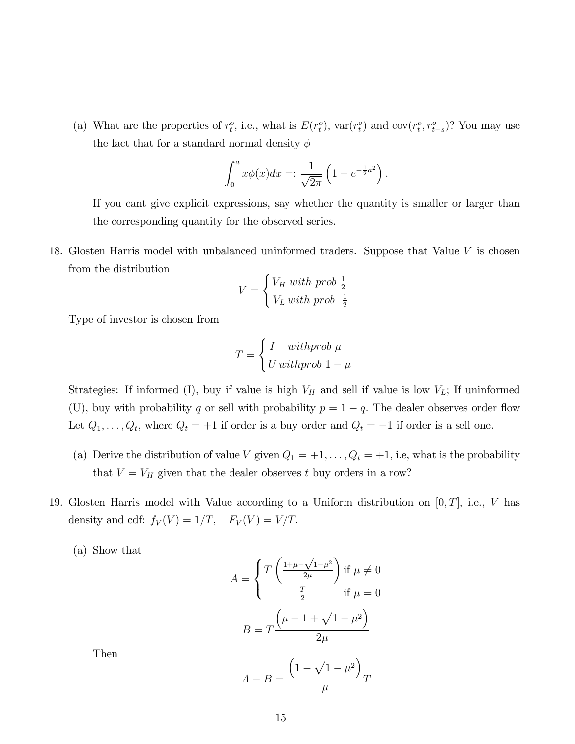(a) What are the properties of  $r_t^o$ , i.e., what is  $E(r_t^o)$ ,  $var(r_t^o)$  and  $cov(r_t^o, r_{t-s}^o)$ ? You may use the fact that for a standard normal density  $\phi$ 

$$
\int_0^a x \phi(x) dx =: \frac{1}{\sqrt{2\pi}} \left( 1 - e^{-\frac{1}{2}a^2} \right).
$$

If you cant give explicit expressions, say whether the quantity is smaller or larger than the corresponding quantity for the observed series.

18. Glosten Harris model with unbalanced uninformed traders. Suppose that Value V is chosen from the distribution

$$
V = \begin{cases} V_H \ with \ prob \ \frac{1}{2} \\ V_L \ with \ prob \ \frac{1}{2} \end{cases}
$$

Type of investor is chosen from

$$
T = \begin{cases} I & \text{withprob } \mu \\ U & \text{withprob } 1 - \mu \end{cases}
$$

Strategies: If informed (I), buy if value is high  $V_H$  and sell if value is low  $V_L$ ; If uninformed (U), buy with probability q or sell with probability  $p = 1 - q$ . The dealer observes order flow Let  $Q_1, \ldots, Q_t$ , where  $Q_t = +1$  if order is a buy order and  $Q_t = -1$  if order is a sell one.

- (a) Derive the distribution of value V given  $Q_1 = +1, \ldots, Q_t = +1$ , i.e, what is the probability that  $V = V_H$  given that the dealer observes t buy orders in a row?
- 19. Glosten Harris model with Value according to a Uniform distribution on  $[0, T]$ , i.e., V has density and cdf:  $f_V(V) = 1/T$ ,  $F_V(V) = V/T$ .
	- (a) Show that

$$
A = \begin{cases} T\left(\frac{1+\mu-\sqrt{1-\mu^2}}{2\mu}\right) & \text{if } \mu \neq 0\\ \frac{T}{2} & \text{if } \mu = 0 \end{cases}
$$

$$
B = T\frac{\left(\mu - 1 + \sqrt{1-\mu^2}\right)}{2\mu}
$$

Then

$$
A - B = \frac{\left(1 - \sqrt{1 - \mu^2}\right)}{\mu}T
$$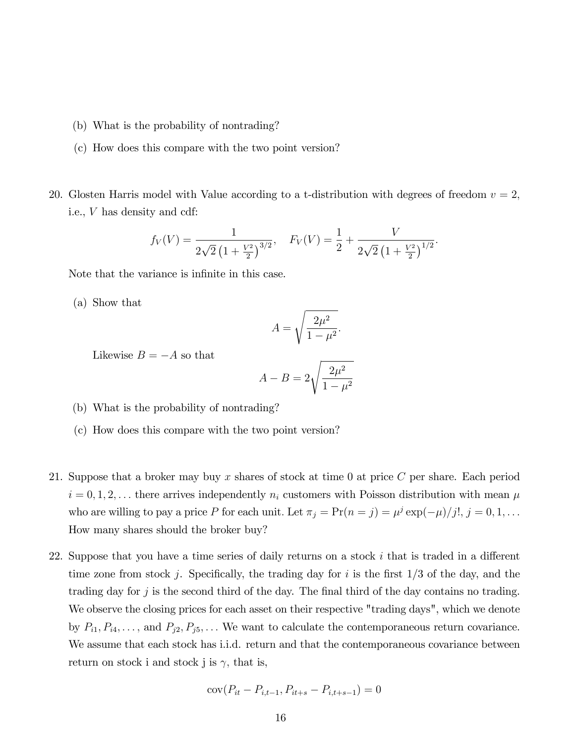- (b) What is the probability of nontrading?
- (c) How does this compare with the two point version?
- 20. Glosten Harris model with Value according to a t-distribution with degrees of freedom  $v = 2$ , i.e., V has density and cdf:

$$
f_V(V) = \frac{1}{2\sqrt{2}(1+\frac{V^2}{2})^{3/2}}, \quad F_V(V) = \frac{1}{2} + \frac{V}{2\sqrt{2}(1+\frac{V^2}{2})^{1/2}}.
$$

Note that the variance is infinite in this case.

(a) Show that

$$
A = \sqrt{\frac{2\mu^2}{1 - \mu^2}}.
$$

Likewise  $B = -A$  so that

$$
A - B = 2\sqrt{\frac{2\mu^2}{1 - \mu^2}}
$$

- (b) What is the probability of nontrading?
- (c) How does this compare with the two point version?
- 21. Suppose that a broker may buy x shares of stock at time 0 at price  $C$  per share. Each period  $i = 0, 1, 2, \ldots$  there arrives independently  $n_i$  customers with Poisson distribution with mean  $\mu$ who are willing to pay a price P for each unit. Let  $\pi_j = \Pr(n = j) = \mu^j \exp(-\mu)/j!$ ,  $j = 0, 1, \ldots$ How many shares should the broker buy?
- 22. Suppose that you have a time series of daily returns on a stock  $i$  that is traded in a different time zone from stock j. Specifically, the trading day for i is the first  $1/3$  of the day, and the trading day for j is the second third of the day. The final third of the day contains no trading. We observe the closing prices for each asset on their respective "trading days", which we denote by  $P_{i1}, P_{i4}, \ldots$ , and  $P_{j2}, P_{j5}, \ldots$  We want to calculate the contemporaneous return covariance. We assume that each stock has i.i.d. return and that the contemporaneous covariance between return on stock i and stock j is  $\gamma$ , that is,

$$
cov(P_{it} - P_{i,t-1}, P_{it+s} - P_{i,t+s-1}) = 0
$$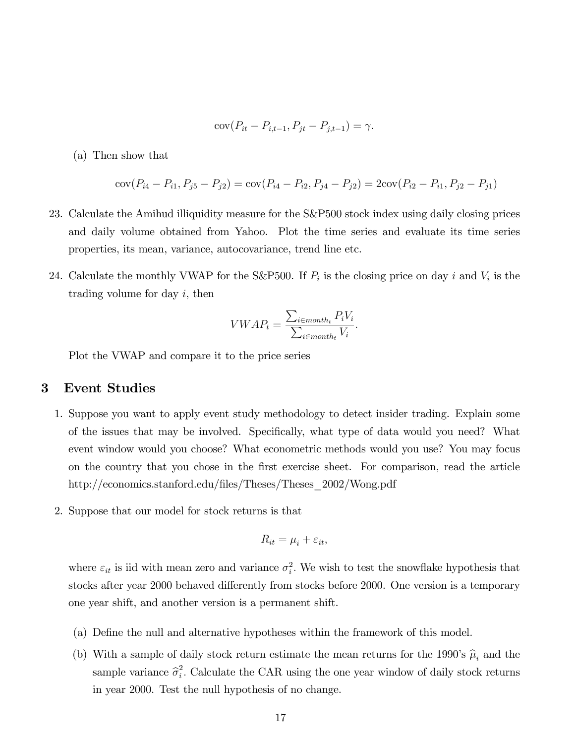$$
cov(P_{it} - P_{i,t-1}, P_{jt} - P_{j,t-1}) = \gamma.
$$

(a) Then show that

$$
cov(P_{i4} - P_{i1}, P_{j5} - P_{j2}) = cov(P_{i4} - P_{i2}, P_{j4} - P_{j2}) = 2cov(P_{i2} - P_{i1}, P_{j2} - P_{j1})
$$

- 23. Calculate the Amihud illiquidity measure for the S&P500 stock index using daily closing prices and daily volume obtained from Yahoo. Plot the time series and evaluate its time series properties, its mean, variance, autocovariance, trend line etc.
- 24. Calculate the monthly VWAP for the S&P500. If  $P_i$  is the closing price on day i and  $V_i$  is the trading volume for day  $i$ , then

$$
VWAP_t = \frac{\sum_{i \in month_t} P_iV_i}{\sum_{i \in month_t} V_i}.
$$

Plot the VWAP and compare it to the price series

## 3 Event Studies

- 1. Suppose you want to apply event study methodology to detect insider trading. Explain some of the issues that may be involved. Specifically, what type of data would you need? What event window would you choose? What econometric methods would you use? You may focus on the country that you chose in the first exercise sheet. For comparison, read the article http://economics.stanford.edu/files/Theses/Theses\_2002/Wong.pdf
- 2. Suppose that our model for stock returns is that

$$
R_{it} = \mu_i + \varepsilon_{it},
$$

where  $\varepsilon_{it}$  is iid with mean zero and variance  $\sigma_i^2$ . We wish to test the snowflake hypothesis that stocks after year 2000 behaved differently from stocks before 2000. One version is a temporary one year shift, and another version is a permanent shift.

- (a) DeÖne the null and alternative hypotheses within the framework of this model.
- (b) With a sample of daily stock return estimate the mean returns for the 1990's  $\hat{\mu}_i$  and the sample variance  $\hat{\sigma}_i^2$  $i<sub>i</sub>$ . Calculate the CAR using the one year window of daily stock returns in year 2000. Test the null hypothesis of no change.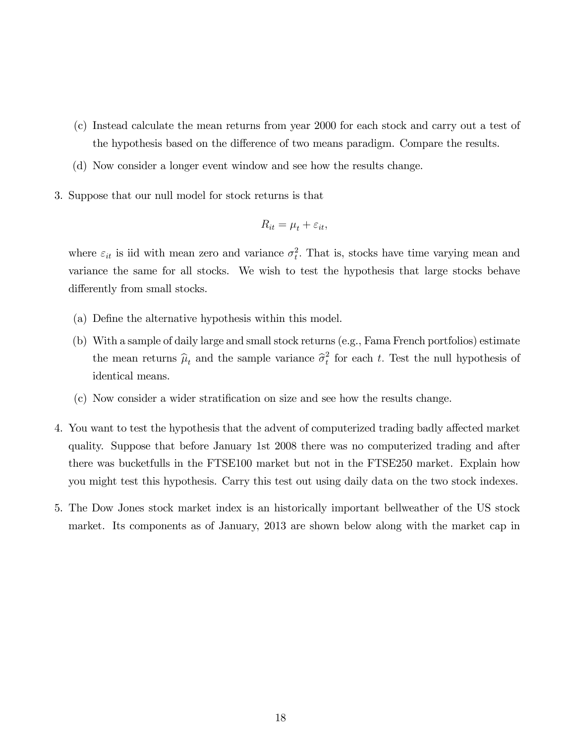- (c) Instead calculate the mean returns from year 2000 for each stock and carry out a test of the hypothesis based on the difference of two means paradigm. Compare the results.
- (d) Now consider a longer event window and see how the results change.
- 3. Suppose that our null model for stock returns is that

$$
R_{it} = \mu_t + \varepsilon_{it},
$$

where  $\varepsilon_{it}$  is iid with mean zero and variance  $\sigma_t^2$ . That is, stocks have time varying mean and variance the same for all stocks. We wish to test the hypothesis that large stocks behave differently from small stocks.

- (a) Define the alternative hypothesis within this model.
- (b) With a sample of daily large and small stock returns (e.g., Fama French portfolios) estimate the mean returns  $\hat{\mu}_t$  and the sample variance  $\hat{\sigma}_t^2$  $t_t$  for each t. Test the null hypothesis of identical means.
- (c) Now consider a wider stratiÖcation on size and see how the results change.
- 4. You want to test the hypothesis that the advent of computerized trading badly affected market quality. Suppose that before January 1st 2008 there was no computerized trading and after there was bucketfulls in the FTSE100 market but not in the FTSE250 market. Explain how you might test this hypothesis. Carry this test out using daily data on the two stock indexes.
- 5. The Dow Jones stock market index is an historically important bellweather of the US stock market. Its components as of January, 2013 are shown below along with the market cap in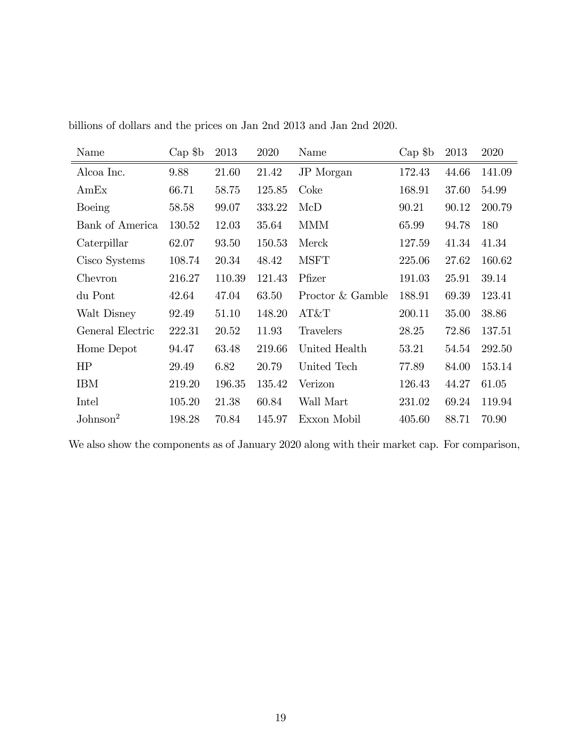| Name                 | $Cap$ \$b | 2013   | 2020   | Name             | $Cap$ \$b | 2013  | 2020   |
|----------------------|-----------|--------|--------|------------------|-----------|-------|--------|
| Alcoa Inc.           | 9.88      | 21.60  | 21.42  | JP Morgan        | 172.43    | 44.66 | 141.09 |
| AmEx                 | 66.71     | 58.75  | 125.85 | Coke             | 168.91    | 37.60 | 54.99  |
| Boeing               | 58.58     | 99.07  | 333.22 | McD              | 90.21     | 90.12 | 200.79 |
| Bank of America      | 130.52    | 12.03  | 35.64  | <b>MMM</b>       | 65.99     | 94.78 | 180    |
| Caterpillar          | 62.07     | 93.50  | 150.53 | Merck            | 127.59    | 41.34 | 41.34  |
| Cisco Systems        | 108.74    | 20.34  | 48.42  | <b>MSFT</b>      | 225.06    | 27.62 | 160.62 |
| Chevron              | 216.27    | 110.39 | 121.43 | Pfizer           | 191.03    | 25.91 | 39.14  |
| du Pont              | 42.64     | 47.04  | 63.50  | Proctor & Gamble | 188.91    | 69.39 | 123.41 |
| Walt Disney          | 92.49     | 51.10  | 148.20 | AT&T             | 200.11    | 35.00 | 38.86  |
| General Electric     | 222.31    | 20.52  | 11.93  | Travelers        | 28.25     | 72.86 | 137.51 |
| Home Depot           | 94.47     | 63.48  | 219.66 | United Health    | 53.21     | 54.54 | 292.50 |
| HP                   | 29.49     | 6.82   | 20.79  | United Tech      | 77.89     | 84.00 | 153.14 |
| <b>IBM</b>           | 219.20    | 196.35 | 135.42 | Verizon          | 126.43    | 44.27 | 61.05  |
| Intel                | 105.20    | 21.38  | 60.84  | Wall Mart        | 231.02    | 69.24 | 119.94 |
| $\mathrm{Johnson}^2$ | 198.28    | 70.84  | 145.97 | Exxon Mobil      | 405.60    | 88.71 | 70.90  |

billions of dollars and the prices on Jan 2nd 2013 and Jan 2nd 2020.

We also show the components as of January 2020 along with their market cap. For comparison,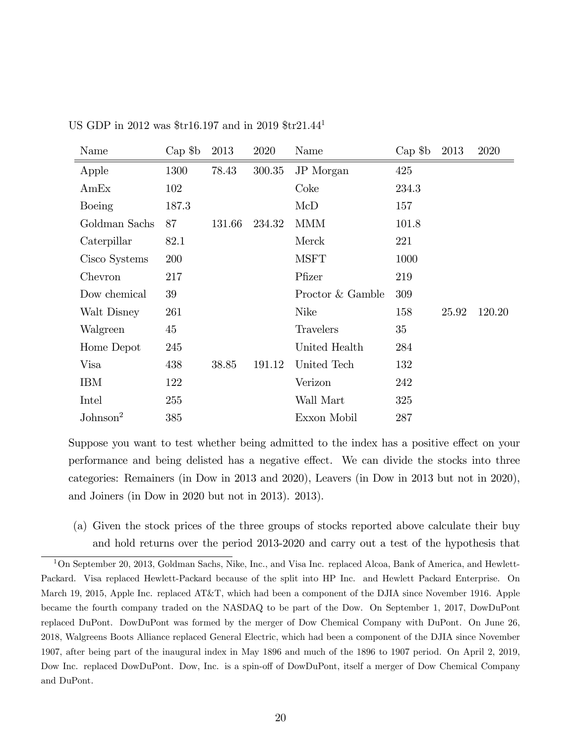| Name                 | $Cap$ \$b | 2013   | 2020   | Name             | $Cap$ \$b | 2013  | 2020   |
|----------------------|-----------|--------|--------|------------------|-----------|-------|--------|
| Apple                | 1300      | 78.43  | 300.35 | JP Morgan        | 425       |       |        |
| AmEx                 | 102       |        |        | Coke             | 234.3     |       |        |
| Boeing               | 187.3     |        |        | McD              | 157       |       |        |
| Goldman Sachs        | 87        | 131.66 | 234.32 | <b>MMM</b>       | 101.8     |       |        |
| Caterpillar          | 82.1      |        |        | Merck            | 221       |       |        |
| Cisco Systems        | 200       |        |        | <b>MSFT</b>      | 1000      |       |        |
| Chevron              | 217       |        |        | Pfizer           | 219       |       |        |
| Dow chemical         | 39        |        |        | Proctor & Gamble | 309       |       |        |
| Walt Disney          | 261       |        |        | <b>Nike</b>      | 158       | 25.92 | 120.20 |
| Walgreen             | 45        |        |        | Travelers        | 35        |       |        |
| Home Depot           | 245       |        |        | United Health    | 284       |       |        |
| Visa                 | 438       | 38.85  | 191.12 | United Tech      | 132       |       |        |
| IBM                  | 122       |        |        | Verizon          | 242       |       |        |
| Intel                | 255       |        |        | Wall Mart        | 325       |       |        |
| Johnson <sup>2</sup> | 385       |        |        | Exxon Mobil      | 287       |       |        |

US GDP in 2012 was \$tr16.197 and in 2019 \$tr21.44<sup>1</sup>

Suppose you want to test whether being admitted to the index has a positive effect on your performance and being delisted has a negative effect. We can divide the stocks into three categories: Remainers (in Dow in 2013 and 2020), Leavers (in Dow in 2013 but not in 2020), and Joiners (in Dow in 2020 but not in 2013). 2013).

(a) Given the stock prices of the three groups of stocks reported above calculate their buy and hold returns over the period 2013-2020 and carry out a test of the hypothesis that

<sup>1</sup>On September 20, 2013, Goldman Sachs, Nike, Inc., and Visa Inc. replaced Alcoa, Bank of America, and Hewlett-Packard. Visa replaced Hewlett-Packard because of the split into HP Inc. and Hewlett Packard Enterprise. On March 19, 2015, Apple Inc. replaced AT&T, which had been a component of the DJIA since November 1916. Apple became the fourth company traded on the NASDAQ to be part of the Dow. On September 1, 2017, DowDuPont replaced DuPont. DowDuPont was formed by the merger of Dow Chemical Company with DuPont. On June 26, 2018, Walgreens Boots Alliance replaced General Electric, which had been a component of the DJIA since November 1907, after being part of the inaugural index in May 1896 and much of the 1896 to 1907 period. On April 2, 2019, Dow Inc. replaced DowDuPont. Dow, Inc. is a spin-off of DowDuPont, itself a merger of Dow Chemical Company and DuPont.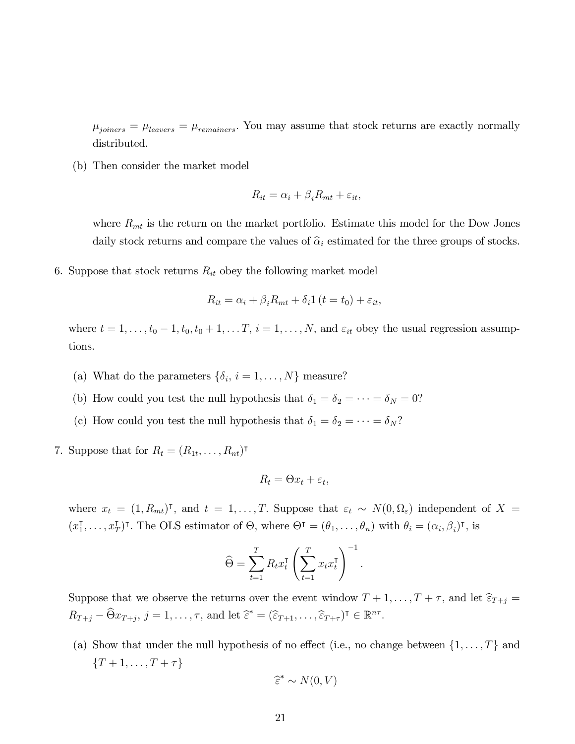$\mu_{joiners} = \mu_{leavers} = \mu_{remaines}$ . You may assume that stock returns are exactly normally distributed.

(b) Then consider the market model

$$
R_{it} = \alpha_i + \beta_i R_{mt} + \varepsilon_{it},
$$

where  $R_{mt}$  is the return on the market portfolio. Estimate this model for the Dow Jones daily stock returns and compare the values of  $\hat{\alpha}_i$  estimated for the three groups of stocks.

6. Suppose that stock returns  $R_{it}$  obey the following market model

$$
R_{it} = \alpha_i + \beta_i R_{mt} + \delta_i 1 (t = t_0) + \varepsilon_{it},
$$

where  $t = 1, \ldots, t_0 - 1, t_0, t_0 + 1, \ldots, T$ ,  $i = 1, \ldots, N$ , and  $\varepsilon_{it}$  obey the usual regression assumptions.

- (a) What do the parameters  $\{\delta_i, i = 1, ..., N\}$  measure?
- (b) How could you test the null hypothesis that  $\delta_1 = \delta_2 = \cdots = \delta_N = 0$ ?
- (c) How could you test the null hypothesis that  $\delta_1 = \delta_2 = \cdots = \delta_N$ ?
- 7. Suppose that for  $R_t = (R_{1t}, \ldots, R_{nt})^{\intercal}$

$$
R_t = \Theta x_t + \varepsilon_t,
$$

where  $x_t = (1, R_{mt})^{\dagger}$ , and  $t = 1, \ldots, T$ . Suppose that  $\varepsilon_t \sim N(0, \Omega_{\varepsilon})$  independent of  $X =$  $(x_1^\mathsf{T}, \ldots, x_T^\mathsf{T})$  $T_T$ )<sup>T</sup>. The OLS estimator of  $\Theta$ , where  $\Theta^{\intercal} = (\theta_1, \ldots, \theta_n)$  with  $\theta_i = (\alpha_i, \beta_i)^{\intercal}$ , is

$$
\widehat{\Theta} = \sum_{t=1}^{T} R_t x_t^{\intercal} \left( \sum_{t=1}^{T} x_t x_t^{\intercal} \right)^{-1}.
$$

Suppose that we observe the returns over the event window  $T + 1, \ldots, T + \tau$ , and let  $\widehat{\varepsilon}_{T+j} =$  $R_{T+j} - \widehat{\Theta} x_{T+j}, j = 1, \ldots, \tau$ , and let  $\widehat{\varepsilon}^* = (\widehat{\varepsilon}_{T+1}, \ldots, \widehat{\varepsilon}_{T+\tau})^{\intercal} \in \mathbb{R}^{n\tau}$ .

(a) Show that under the null hypothesis of no effect (i.e., no change between  $\{1, \ldots, T\}$  and  ${T + 1, \ldots, T + \tau}$ 

$$
\widehat{\varepsilon}^* \sim N(0, V)
$$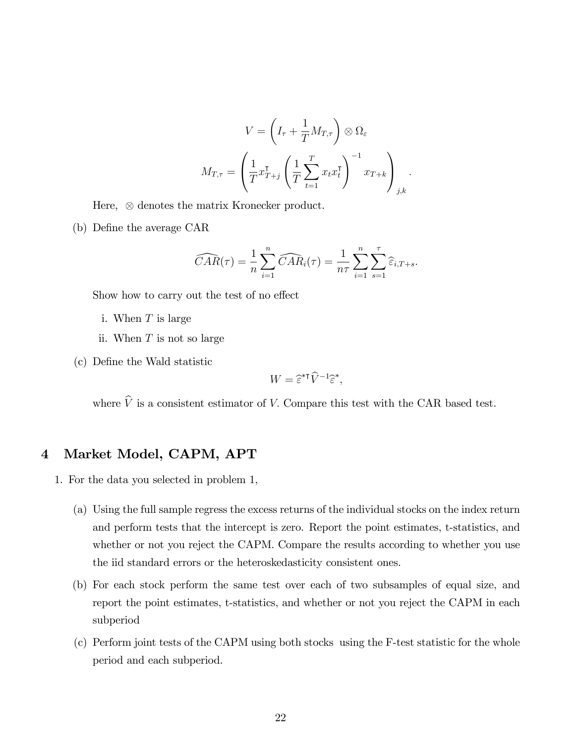$$
V = \left(I_{\tau} + \frac{1}{T}M_{T,\tau}\right) \otimes \Omega_{\varepsilon}
$$

$$
M_{T,\tau} = \left(\frac{1}{T}x_{T+j}^{\mathsf{T}} \left(\frac{1}{T}\sum_{t=1}^{T}x_{t}x_{t}^{\mathsf{T}}\right)^{-1}x_{T+k}\right)_{j,k}.
$$

Here,  $\otimes$  denotes the matrix Kronecker product.

(b) Define the average CAR

$$
\widehat{CAR}(\tau) = \frac{1}{n} \sum_{i=1}^n \widehat{CAR}_i(\tau) = \frac{1}{n\tau} \sum_{i=1}^n \sum_{s=1}^\tau \widehat{\varepsilon}_{i,T+s}.
$$

Show how to carry out the test of no effect

- i. When T is large
- ii. When T is not so large
- (c) DeÖne the Wald statistic

$$
W = \widehat{\varepsilon}^{*T} \widehat{V}^{-1} \widehat{\varepsilon}^*,
$$

where  $\hat{V}$  is a consistent estimator of V. Compare this test with the CAR based test.

## 4 Market Model, CAPM, APT

1. For the data you selected in problem 1,

- (a) Using the full sample regress the excess returns of the individual stocks on the index return and perform tests that the intercept is zero. Report the point estimates, t-statistics, and whether or not you reject the CAPM. Compare the results according to whether you use the iid standard errors or the heteroskedasticity consistent ones.
- (b) For each stock perform the same test over each of two subsamples of equal size, and report the point estimates, t-statistics, and whether or not you reject the CAPM in each subperiod
- (c) Perform joint tests of the CAPM using both stocks using the F-test statistic for the whole period and each subperiod.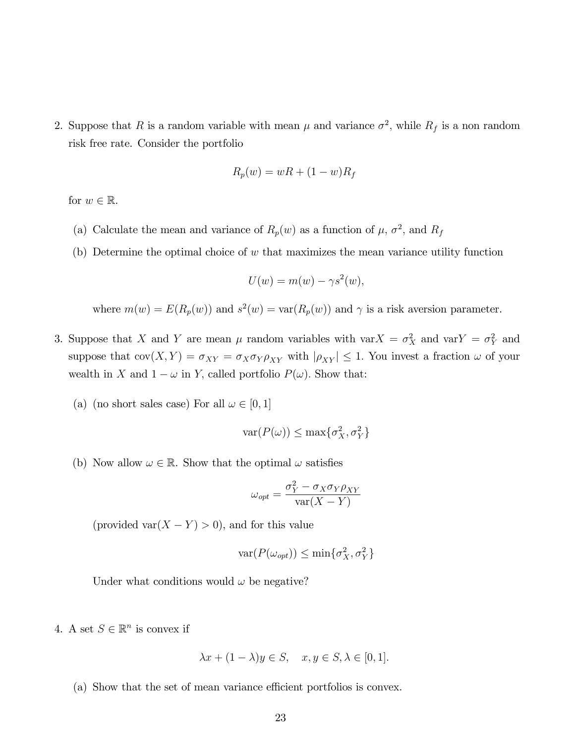2. Suppose that R is a random variable with mean  $\mu$  and variance  $\sigma^2$ , while  $R_f$  is a non random risk free rate. Consider the portfolio

$$
R_p(w) = wR + (1 - w)R_f
$$

for  $w \in \mathbb{R}$ .

- (a) Calculate the mean and variance of  $R_p(w)$  as a function of  $\mu$ ,  $\sigma^2$ , and  $R_f$
- (b) Determine the optimal choice of  $w$  that maximizes the mean variance utility function

$$
U(w) = m(w) - \gamma s^2(w),
$$

where  $m(w) = E(R_p(w))$  and  $s^2(w) = \text{var}(R_p(w))$  and  $\gamma$  is a risk aversion parameter.

- 3. Suppose that X and Y are mean  $\mu$  random variables with var $X = \sigma_X^2$  and var $Y = \sigma_Y^2$  and suppose that  $cov(X, Y) = \sigma_{XY} = \sigma_X \sigma_Y \rho_{XY}$  with  $|\rho_{XY}| \leq 1$ . You invest a fraction  $\omega$  of your wealth in X and  $1 - \omega$  in Y, called portfolio  $P(\omega)$ . Show that:
	- (a) (no short sales case) For all  $\omega \in [0, 1]$

$$
\text{var}(P(\omega)) \le \max\{\sigma_X^2, \sigma_Y^2\}
$$

(b) Now allow  $\omega \in \mathbb{R}$ . Show that the optimal  $\omega$  satisfies

$$
\omega_{opt} = \frac{\sigma_Y^2 - \sigma_X \sigma_Y \rho_{XY}}{\text{var}(X - Y)}
$$

(provided var $(X - Y) > 0$ ), and for this value

$$
\text{var}(P(\omega_{opt})) \le \min\{\sigma_X^2, \sigma_Y^2\}
$$

Under what conditions would  $\omega$  be negative?

4. A set  $S \in \mathbb{R}^n$  is convex if

$$
\lambda x + (1 - \lambda)y \in S, \quad x, y \in S, \lambda \in [0, 1].
$$

(a) Show that the set of mean variance efficient portfolios is convex.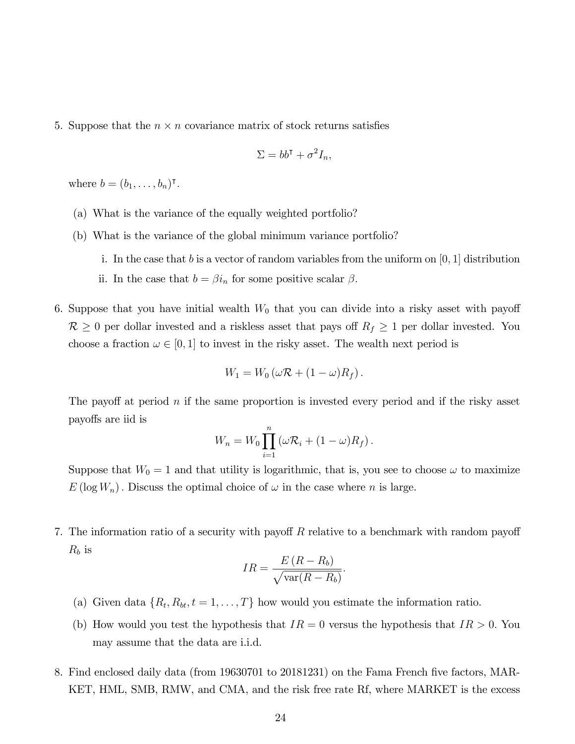5. Suppose that the  $n \times n$  covariance matrix of stock returns satisfies

$$
\Sigma = bb^{\mathsf{T}} + \sigma^2 I_n,
$$

where  $b=(b_1,\ldots,b_n)^\intercal$ .

- (a) What is the variance of the equally weighted portfolio?
- (b) What is the variance of the global minimum variance portfolio?
	- i. In the case that b is a vector of random variables from the uniform on  $[0, 1]$  distribution
	- ii. In the case that  $b = \beta i_n$  for some positive scalar  $\beta$ .
- 6. Suppose that you have initial wealth  $W_0$  that you can divide into a risky asset with payoff  $\mathcal{R} \geq 0$  per dollar invested and a riskless asset that pays off  $R_f \geq 1$  per dollar invested. You choose a fraction  $\omega \in [0, 1]$  to invest in the risky asset. The wealth next period is

$$
W_1 = W_0 \left( \omega \mathcal{R} + (1 - \omega) R_f \right).
$$

The payoff at period n if the same proportion is invested every period and if the risky asset payo§s are iid is

$$
W_n = W_0 \prod_{i=1}^n (\omega \mathcal{R}_i + (1 - \omega) R_f).
$$

Suppose that  $W_0 = 1$  and that utility is logarithmic, that is, you see to choose  $\omega$  to maximize  $E(\log W_n)$ . Discuss the optimal choice of  $\omega$  in the case where n is large.

7. The information ratio of a security with payoff  $R$  relative to a benchmark with random payoff  $R_b$  is

$$
IR = \frac{E\left(R - R_b\right)}{\sqrt{\text{var}(R - R_b)}}
$$

:

- (a) Given data  $\{R_t, R_{bt}, t = 1, \ldots, T\}$  how would you estimate the information ratio.
- (b) How would you test the hypothesis that  $IR = 0$  versus the hypothesis that  $IR > 0$ . You may assume that the data are i.i.d.
- 8. Find enclosed daily data (from 19630701 to 20181231) on the Fama French five factors, MAR-KET, HML, SMB, RMW, and CMA, and the risk free rate Rf, where MARKET is the excess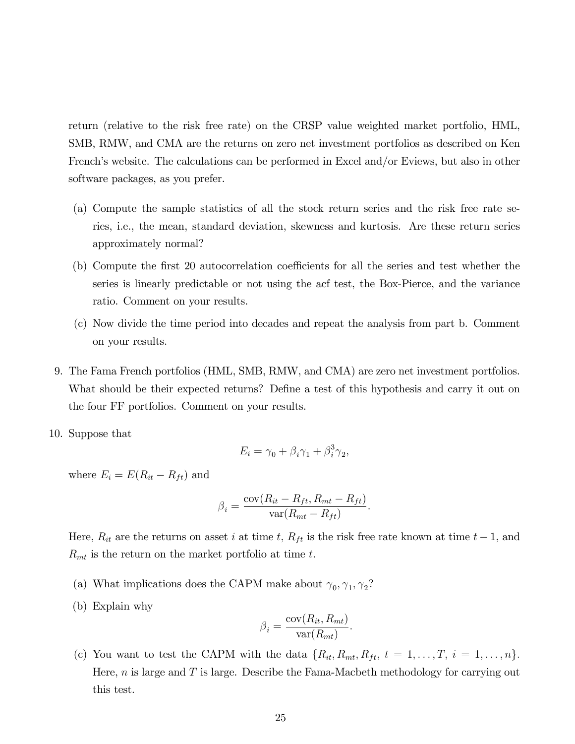return (relative to the risk free rate) on the CRSP value weighted market portfolio, HML, SMB, RMW, and CMA are the returns on zero net investment portfolios as described on Ken French's website. The calculations can be performed in Excel and/or Eviews, but also in other software packages, as you prefer.

- (a) Compute the sample statistics of all the stock return series and the risk free rate series, i.e., the mean, standard deviation, skewness and kurtosis. Are these return series approximately normal?
- (b) Compute the first 20 autocorrelation coefficients for all the series and test whether the series is linearly predictable or not using the acf test, the Box-Pierce, and the variance ratio. Comment on your results.
- (c) Now divide the time period into decades and repeat the analysis from part b. Comment on your results.
- 9. The Fama French portfolios (HML, SMB, RMW, and CMA) are zero net investment portfolios. What should be their expected returns? Define a test of this hypothesis and carry it out on the four FF portfolios. Comment on your results.
- 10. Suppose that

$$
E_i = \gamma_0 + \beta_i \gamma_1 + \beta_i^3 \gamma_2,
$$

where  $E_i = E(R_{it} - R_{ft})$  and

$$
\beta_i = \frac{\text{cov}(R_{it} - R_{ft}, R_{mt} - R_{ft})}{\text{var}(R_{mt} - R_{ft})}.
$$

Here,  $R_{it}$  are the returns on asset i at time t,  $R_{ft}$  is the risk free rate known at time  $t-1$ , and  $R_{mt}$  is the return on the market portfolio at time t.

- (a) What implications does the CAPM make about  $\gamma_0, \gamma_1, \gamma_2$ ?
- (b) Explain why

$$
\beta_i = \frac{\text{cov}(R_{it}, R_{mt})}{\text{var}(R_{mt})}.
$$

(c) You want to test the CAPM with the data  $\{R_{it}, R_{mt}, R_{ft}, t = 1, \ldots, T, i = 1, \ldots, n\}.$ Here,  $n$  is large and  $T$  is large. Describe the Fama-Macbeth methodology for carrying out this test.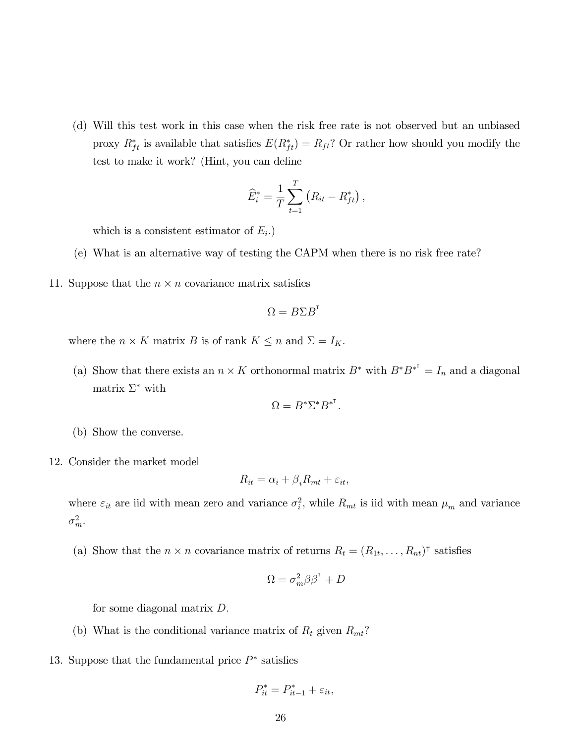(d) Will this test work in this case when the risk free rate is not observed but an unbiased proxy  $R_{ft}^*$  is available that satisfies  $E(R_{ft}^*) = R_{ft}$ ? Or rather how should you modify the test to make it work? (Hint, you can define

$$
\widehat{E}_i^* = \frac{1}{T} \sum_{t=1}^T (R_{it} - R_{ft}^*) ,
$$

which is a consistent estimator of  $E_i$ .)

- (e) What is an alternative way of testing the CAPM when there is no risk free rate?
- 11. Suppose that the  $n \times n$  covariance matrix satisfies

$$
\Omega = B\Sigma B^{\rm T}
$$

where the  $n \times K$  matrix B is of rank  $K \leq n$  and  $\Sigma = I_K$ .

(a) Show that there exists an  $n \times K$  orthonormal matrix  $B^*$  with  $B^*B^{*^T} = I_n$  and a diagonal matrix  $\Sigma^*$  with

$$
\Omega=B^* \Sigma^* B^{*\mathsf{T}}.
$$

- (b) Show the converse.
- 12. Consider the market model

$$
R_{it} = \alpha_i + \beta_i R_{mt} + \varepsilon_{it},
$$

where  $\varepsilon_{it}$  are iid with mean zero and variance  $\sigma_i^2$ , while  $R_{mt}$  is iid with mean  $\mu_m$  and variance  $\sigma_m^2$ .

(a) Show that the  $n \times n$  covariance matrix of returns  $R_t = (R_{1t}, \ldots, R_{nt})^{\dagger}$  satisfies

$$
\Omega = \sigma_m^2 \beta \beta^{\rm T} + D
$$

for some diagonal matrix D:

- (b) What is the conditional variance matrix of  $R_t$  given  $R_{mt}$ ?
- 13. Suppose that the fundamental price  $P^*$  satisfies

$$
P_{it}^* = P_{it-1}^* + \varepsilon_{it},
$$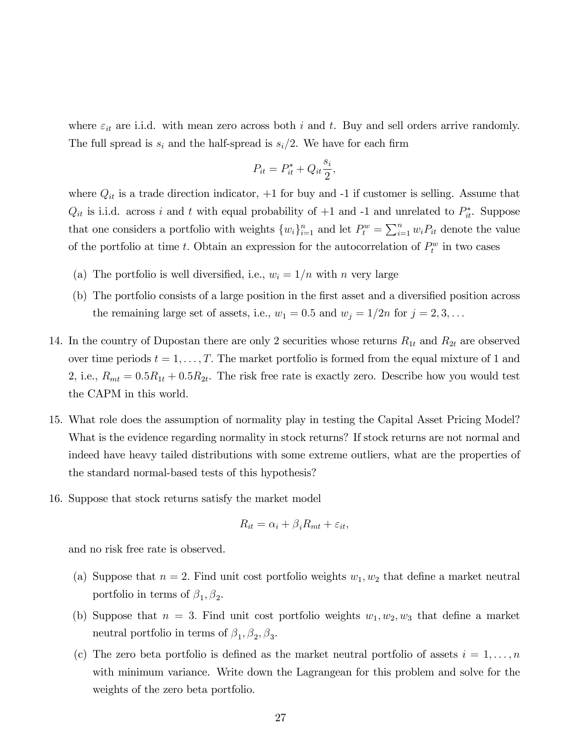where  $\varepsilon_{it}$  are i.i.d. with mean zero across both i and t. Buy and sell orders arrive randomly. The full spread is  $s_i$  and the half-spread is  $s_i/2$ . We have for each firm

$$
P_{it} = P_{it}^* + Q_{it} \frac{s_i}{2}
$$

;

where  $Q_{it}$  is a trade direction indicator,  $+1$  for buy and  $-1$  if customer is selling. Assume that  $Q_{it}$  is i.i.d. across i and t with equal probability of  $+1$  and  $-1$  and unrelated to  $P_{it}^*$ . Suppose that one considers a portfolio with weights  $\{w_i\}_{i=1}^n$  and let  $P_t^w = \sum_{i=1}^n w_i P_{it}$  denote the value of the portfolio at time t. Obtain an expression for the autocorrelation of  $P_t^w$  in two cases

- (a) The portfolio is well diversified, i.e.,  $w_i = 1/n$  with n very large
- (b) The portfolio consists of a large position in the first asset and a diversified position across the remaining large set of assets, i.e.,  $w_1 = 0.5$  and  $w_j = 1/2n$  for  $j = 2, 3, \ldots$
- 14. In the country of Dupostan there are only 2 securities whose returns  $R_{1t}$  and  $R_{2t}$  are observed over time periods  $t = 1, \ldots, T$ . The market portfolio is formed from the equal mixture of 1 and 2, i.e.,  $R_{mt} = 0.5R_{1t} + 0.5R_{2t}$ . The risk free rate is exactly zero. Describe how you would test the CAPM in this world.
- 15. What role does the assumption of normality play in testing the Capital Asset Pricing Model? What is the evidence regarding normality in stock returns? If stock returns are not normal and indeed have heavy tailed distributions with some extreme outliers, what are the properties of the standard normal-based tests of this hypothesis?
- 16. Suppose that stock returns satisfy the market model

$$
R_{it} = \alpha_i + \beta_i R_{mt} + \varepsilon_{it},
$$

and no risk free rate is observed.

- (a) Suppose that  $n = 2$ . Find unit cost portfolio weights  $w_1, w_2$  that define a market neutral portfolio in terms of  $\beta_1, \beta_2$ .
- (b) Suppose that  $n = 3$ . Find unit cost portfolio weights  $w_1, w_2, w_3$  that define a market neutral portfolio in terms of  $\beta_1, \beta_2, \beta_3$ .
- (c) The zero beta portfolio is defined as the market neutral portfolio of assets  $i = 1, \ldots, n$ with minimum variance. Write down the Lagrangean for this problem and solve for the weights of the zero beta portfolio.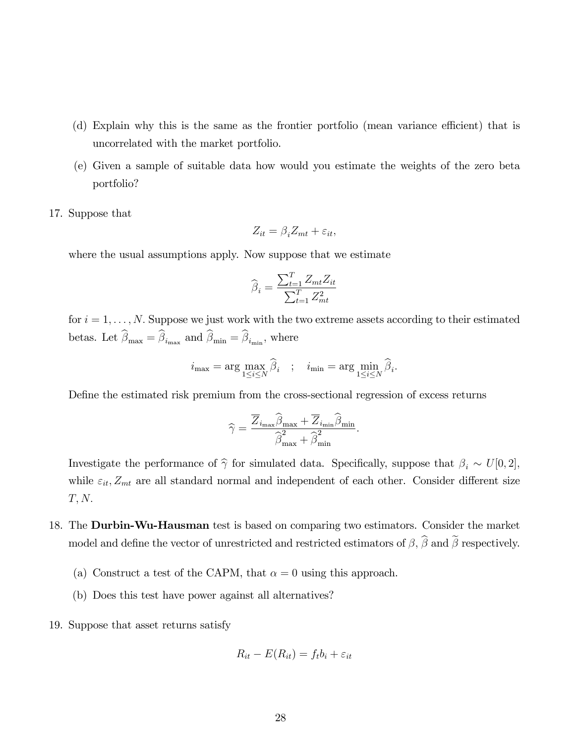- (d) Explain why this is the same as the frontier portfolio (mean variance efficient) that is uncorrelated with the market portfolio.
- (e) Given a sample of suitable data how would you estimate the weights of the zero beta portfolio?
- 17. Suppose that

$$
Z_{it} = \beta_i Z_{mt} + \varepsilon_{it},
$$

where the usual assumptions apply. Now suppose that we estimate

$$
\widehat{\beta}_i = \frac{\sum_{t=1}^T Z_{mt} Z_{it}}{\sum_{t=1}^T Z_{mt}^2}
$$

for  $i = 1, \ldots, N$ . Suppose we just work with the two extreme assets according to their estimated betas. Let  $\beta_{\text{max}} = \beta_{i_{\text{max}}}$  and  $\beta_{\text{min}} = \beta_{i_{\text{min}}}$ , where

$$
i_{\max} = \arg \max_{1 \le i \le N} \widehat{\beta}_i \quad ; \quad i_{\min} = \arg \min_{1 \le i \le N} \widehat{\beta}_i.
$$

DeÖne the estimated risk premium from the cross-sectional regression of excess returns

$$
\widehat{\gamma} = \frac{\overline{Z}_{i_{\text{max}}}\widehat{\beta}_{\text{max}} + \overline{Z}_{i_{\text{min}}}\widehat{\beta}_{\text{min}}}{\widehat{\beta}_{\text{max}}^2 + \widehat{\beta}_{\text{min}}^2}.
$$

Investigate the performance of  $\hat{\gamma}$  for simulated data. Specifically, suppose that  $\beta_i \sim U[0, 2]$ , while  $\varepsilon_{it}$ ,  $Z_{mt}$  are all standard normal and independent of each other. Consider different size  $T, N.$ 

- 18. The **Durbin-Wu-Hausman** test is based on comparing two estimators. Consider the market model and define the vector of unrestricted and restricted estimators of  $\beta$ ,  $\widehat{\beta}$  and  $\widetilde{\beta}$  respectively.
	- (a) Construct a test of the CAPM, that  $\alpha = 0$  using this approach.
	- (b) Does this test have power against all alternatives?
- 19. Suppose that asset returns satisfy

$$
R_{it} - E(R_{it}) = f_t b_i + \varepsilon_{it}
$$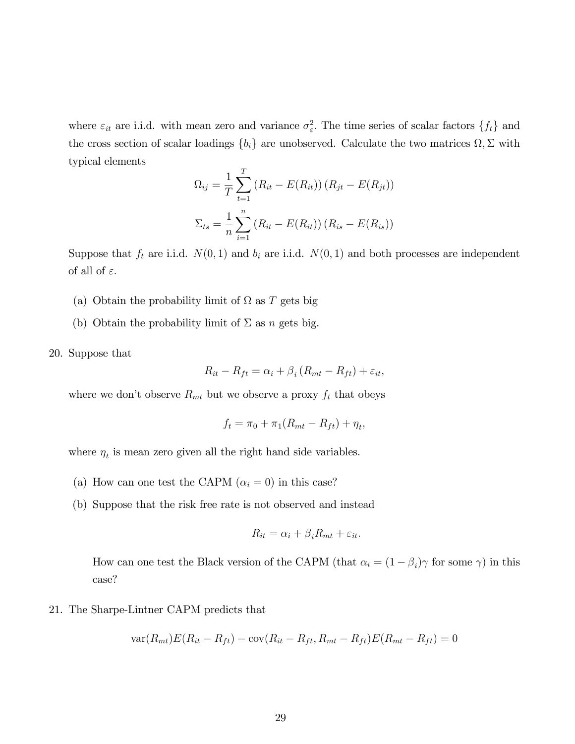where  $\varepsilon_{it}$  are i.i.d. with mean zero and variance  $\sigma_{\varepsilon}^2$ . The time series of scalar factors  $\{f_t\}$  and the cross section of scalar loadings  $\{b_i\}$  are unobserved. Calculate the two matrices  $\Omega$ ,  $\Sigma$  with typical elements

$$
\Omega_{ij} = \frac{1}{T} \sum_{t=1}^{T} (R_{it} - E(R_{it})) (R_{jt} - E(R_{jt}))
$$

$$
\Sigma_{ts} = \frac{1}{n} \sum_{i=1}^{n} (R_{it} - E(R_{it})) (R_{is} - E(R_{is}))
$$

Suppose that  $f_t$  are i.i.d.  $N(0, 1)$  and  $b_i$  are i.i.d.  $N(0, 1)$  and both processes are independent of all of  $\varepsilon$ .

- (a) Obtain the probability limit of  $\Omega$  as T gets big
- (b) Obtain the probability limit of  $\Sigma$  as n gets big.
- 20. Suppose that

$$
R_{it} - R_{ft} = \alpha_i + \beta_i (R_{mt} - R_{ft}) + \varepsilon_{it},
$$

where we don't observe  $R_{mt}$  but we observe a proxy  $f_t$  that obeys

$$
f_t = \pi_0 + \pi_1(R_{mt} - R_{ft}) + \eta_t,
$$

where  $\eta_t$  is mean zero given all the right hand side variables.

- (a) How can one test the CAPM  $(\alpha_i = 0)$  in this case?
- (b) Suppose that the risk free rate is not observed and instead

$$
R_{it} = \alpha_i + \beta_i R_{mt} + \varepsilon_{it}.
$$

How can one test the Black version of the CAPM (that  $\alpha_i = (1 - \beta_i)\gamma$  for some  $\gamma$ ) in this case?

21. The Sharpe-Lintner CAPM predicts that

$$
var(R_{mt})E(R_{it} - R_{ft}) - cov(R_{it} - R_{ft}, R_{mt} - R_{ft})E(R_{mt} - R_{ft}) = 0
$$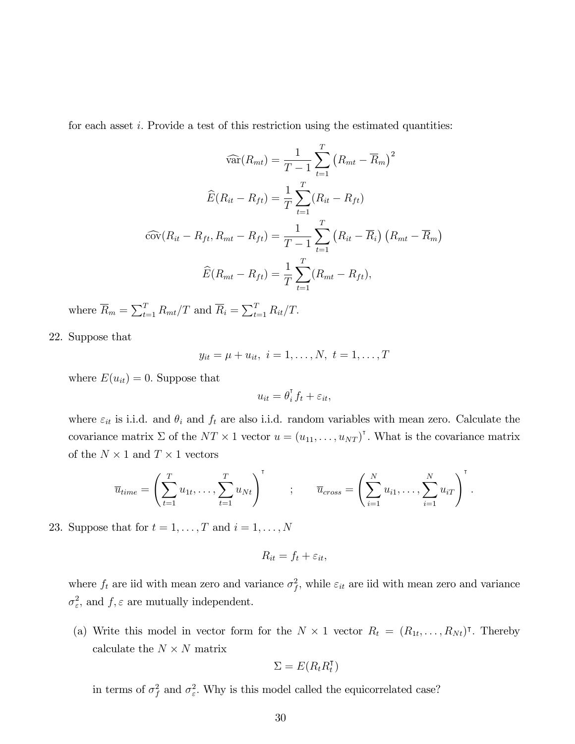for each asset  $i$ . Provide a test of this restriction using the estimated quantities:

$$
\widehat{\text{var}}(R_{mt}) = \frac{1}{T-1} \sum_{t=1}^{T} (R_{mt} - \overline{R}_{m})^{2}
$$

$$
\widehat{E}(R_{it} - R_{ft}) = \frac{1}{T} \sum_{t=1}^{T} (R_{it} - R_{ft})
$$

$$
\widehat{\text{cov}}(R_{it} - R_{ft}, R_{mt} - R_{ft}) = \frac{1}{T-1} \sum_{t=1}^{T} (R_{it} - \overline{R}_{i}) (R_{mt} - \overline{R}_{m})
$$

$$
\widehat{E}(R_{mt} - R_{ft}) = \frac{1}{T} \sum_{t=1}^{T} (R_{mt} - R_{ft}),
$$

where  $\overline{R}_m = \sum_{t=1}^T R_{mt}/T$  and  $\overline{R}_i = \sum_{t=1}^T R_{it}/T$ .

22. Suppose that

$$
y_{it} = \mu + u_{it}, i = 1, ..., N, t = 1, ..., T
$$

where  $E(u_{it}) = 0$ . Suppose that

$$
u_{it} = \theta_i^{\mathsf{T}} f_t + \varepsilon_{it},
$$

where  $\varepsilon_{it}$  is i.i.d. and  $\theta_i$  and  $f_t$  are also i.i.d. random variables with mean zero. Calculate the covariance matrix  $\Sigma$  of the  $NT \times 1$  vector  $u = (u_{11}, \ldots, u_{NT})^{\dagger}$ . What is the covariance matrix of the  $N \times 1$  and  $T \times 1$  vectors

$$
\overline{u}_{time} = \left(\sum_{t=1}^T u_{1t}, \ldots, \sum_{t=1}^T u_{Nt}\right)^{\mathsf{T}} \qquad ; \qquad \overline{u}_{cross} = \left(\sum_{i=1}^N u_{i1}, \ldots, \sum_{i=1}^N u_{iT}\right)^{\mathsf{T}}.
$$

23. Suppose that for  $t = 1, \ldots, T$  and  $i = 1, \ldots, N$ 

$$
R_{it} = f_t + \varepsilon_{it},
$$

where  $f_t$  are iid with mean zero and variance  $\sigma_f^2$ , while  $\varepsilon_{it}$  are iid with mean zero and variance  $\sigma_{\varepsilon}^2$ , and  $f, \varepsilon$  are mutually independent.

(a) Write this model in vector form for the  $N \times 1$  vector  $R_t = (R_{1t}, \ldots, R_{Nt})^{\dagger}$ . Thereby calculate the  $N \times N$  matrix

$$
\Sigma = E(R_t R_t^{\intercal})
$$

in terms of  $\sigma_f^2$  and  $\sigma_{\varepsilon}^2$ . Why is this model called the equicorrelated case?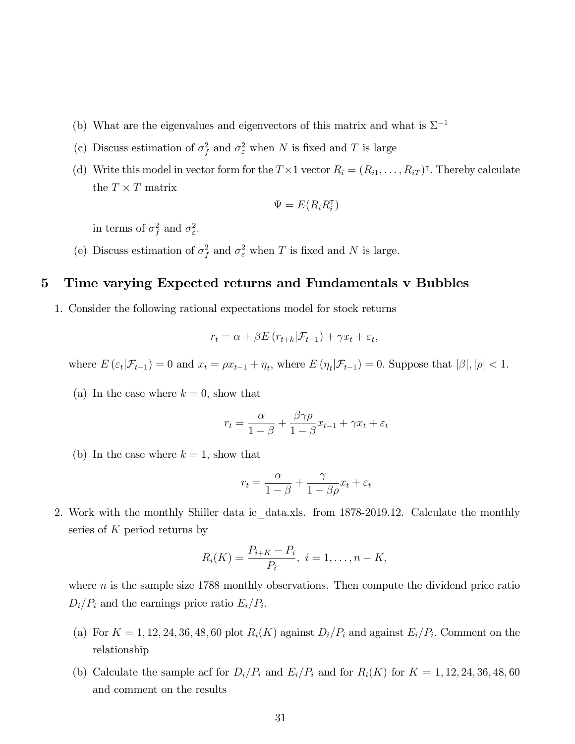- (b) What are the eigenvalues and eigenvectors of this matrix and what is  $\Sigma^{-1}$
- (c) Discuss estimation of  $\sigma_f^2$  and  $\sigma_{\varepsilon}^2$  when N is fixed and T is large
- (d) Write this model in vector form for the  $T \times 1$  vector  $R_i = (R_{i1}, \ldots, R_{iT})^T$ . Thereby calculate the  $T \times T$  matrix

$$
\Psi = E(R_i R_i^{\sf T})
$$

in terms of  $\sigma_f^2$  and  $\sigma_{\varepsilon}^2$ .

(e) Discuss estimation of  $\sigma_f^2$  and  $\sigma_{\varepsilon}^2$  when T is fixed and N is large.

#### 5 Time varying Expected returns and Fundamentals v Bubbles

1. Consider the following rational expectations model for stock returns

$$
r_t = \alpha + \beta E \left( r_{t+k} | \mathcal{F}_{t-1} \right) + \gamma x_t + \varepsilon_t,
$$

where  $E\left(\varepsilon_t|\mathcal{F}_{t-1}\right) = 0$  and  $x_t = \rho x_{t-1} + \eta_t$ , where  $E\left(\eta_t|\mathcal{F}_{t-1}\right) = 0$ . Suppose that  $|\beta|, |\rho| < 1$ .

(a) In the case where  $k = 0$ , show that

$$
r_t = \frac{\alpha}{1-\beta} + \frac{\beta \gamma \rho}{1-\beta} x_{t-1} + \gamma x_t + \varepsilon_t
$$

(b) In the case where  $k = 1$ , show that

$$
r_t = \frac{\alpha}{1 - \beta} + \frac{\gamma}{1 - \beta \rho} x_t + \varepsilon_t
$$

2. Work with the monthly Shiller data ie data.xls. from 1878-2019.12. Calculate the monthly series of  $K$  period returns by

$$
R_i(K) = \frac{P_{i+K} - P_i}{P_i}, \ i = 1, \dots, n - K,
$$

where  $n$  is the sample size 1788 monthly observations. Then compute the dividend price ratio  $D_i/P_i$  and the earnings price ratio  $E_i/P_i$ .

- (a) For  $K = 1, 12, 24, 36, 48, 60$  plot  $R_i(K)$  against  $D_i/P_i$  and against  $E_i/P_i$ . Comment on the relationship
- (b) Calculate the sample acf for  $D_i/P_i$  and  $E_i/P_i$  and for  $R_i(K)$  for  $K = 1, 12, 24, 36, 48, 60$ and comment on the results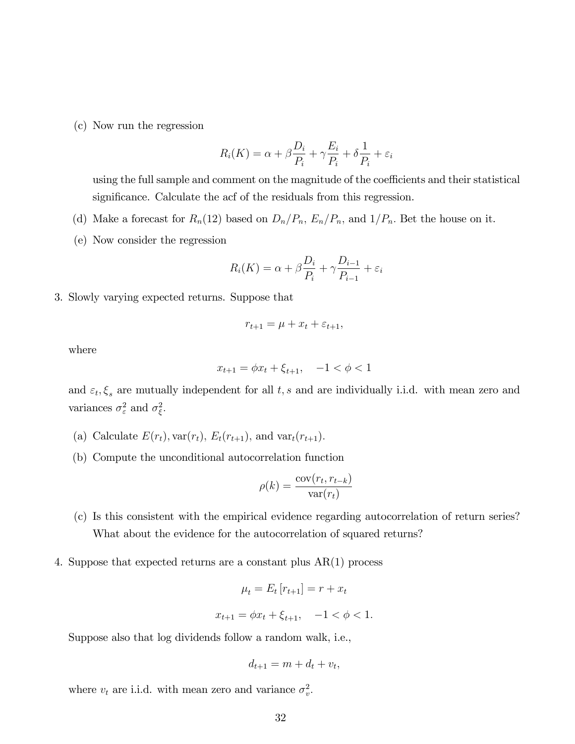(c) Now run the regression

$$
R_i(K) = \alpha + \beta \frac{D_i}{P_i} + \gamma \frac{E_i}{P_i} + \delta \frac{1}{P_i} + \varepsilon_i
$$

using the full sample and comment on the magnitude of the coefficients and their statistical significance. Calculate the acf of the residuals from this regression.

- (d) Make a forecast for  $R_n(12)$  based on  $D_n/P_n$ ,  $E_n/P_n$ , and  $1/P_n$ . Bet the house on it.
- (e) Now consider the regression

$$
R_i(K) = \alpha + \beta \frac{D_i}{P_i} + \gamma \frac{D_{i-1}}{P_{i-1}} + \varepsilon_i
$$

3. Slowly varying expected returns. Suppose that

$$
r_{t+1} = \mu + x_t + \varepsilon_{t+1},
$$

where

$$
x_{t+1} = \phi x_t + \xi_{t+1}, \quad -1 < \phi < 1
$$

and  $\varepsilon_t, \xi_s$  are mutually independent for all t, s and are individually i.i.d. with mean zero and variances  $\sigma_{\varepsilon}^2$  and  $\sigma_{\xi}^2$ .

- (a) Calculate  $E(r_t)$ ,  $var(r_t)$ ,  $E_t(r_{t+1})$ , and  $var_t(r_{t+1})$ .
- (b) Compute the unconditional autocorrelation function

$$
\rho(k) = \frac{\text{cov}(r_t, r_{t-k})}{\text{var}(r_t)}
$$

- (c) Is this consistent with the empirical evidence regarding autocorrelation of return series? What about the evidence for the autocorrelation of squared returns?
- 4. Suppose that expected returns are a constant plus AR(1) process

$$
\mu_t = E_t [r_{t+1}] = r + x_t
$$

$$
x_{t+1} = \phi x_t + \xi_{t+1}, \quad -1 < \phi < 1
$$

Suppose also that log dividends follow a random walk, i.e.,

$$
d_{t+1} = m + d_t + v_t,
$$

where  $v_t$  are i.i.d. with mean zero and variance  $\sigma_v^2$ .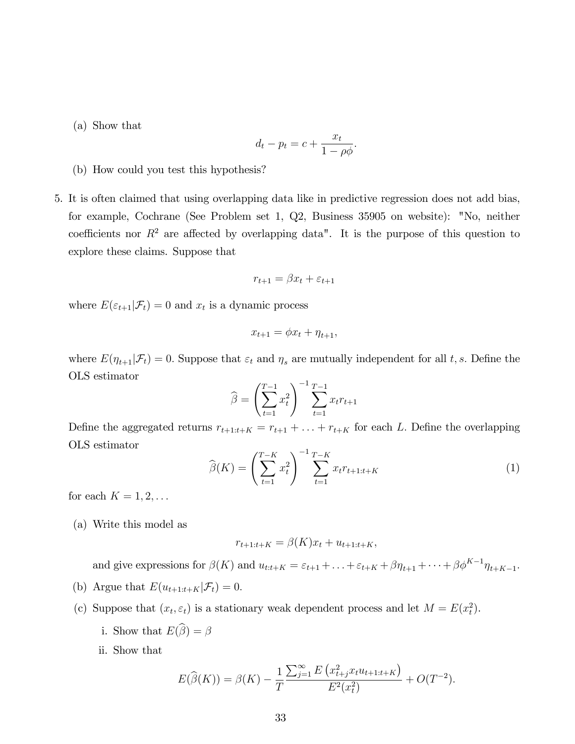(a) Show that

$$
d_t - p_t = c + \frac{x_t}{1 - \rho \phi}.
$$

- (b) How could you test this hypothesis?
- 5. It is often claimed that using overlapping data like in predictive regression does not add bias, for example, Cochrane (See Problem set 1, Q2, Business 35905 on website): "No, neither coefficients nor  $R^2$  are affected by overlapping data". It is the purpose of this question to explore these claims. Suppose that

$$
r_{t+1} = \beta x_t + \varepsilon_{t+1}
$$

where  $E(\varepsilon_{t+1}|\mathcal{F}_t) = 0$  and  $x_t$  is a dynamic process

$$
x_{t+1} = \phi x_t + \eta_{t+1},
$$

where  $E(\eta_{t+1}|\mathcal{F}_t) = 0$ . Suppose that  $\varepsilon_t$  and  $\eta_s$  are mutually independent for all t, s. Define the OLS estimator

$$
\widehat{\beta} = \left(\sum_{t=1}^{T-1} x_t^2\right)^{-1} \sum_{t=1}^{T-1} x_t r_{t+1}
$$

Define the aggregated returns  $r_{t+1:t+K} = r_{t+1} + \ldots + r_{t+K}$  for each L. Define the overlapping OLS estimator

$$
\widehat{\beta}(K) = \left(\sum_{t=1}^{T-K} x_t^2\right)^{-1} \sum_{t=1}^{T-K} x_t r_{t+1:t+K} \tag{1}
$$

for each  $K = 1, 2, \ldots$ 

(a) Write this model as

$$
r_{t+1:t+K} = \beta(K)x_t + u_{t+1:t+K},
$$

and give expressions for  $\beta(K)$  and  $u_{t:t+K} = \varepsilon_{t+1} + \ldots + \varepsilon_{t+K} + \beta \eta_{t+1} + \cdots + \beta \phi^{K-1} \eta_{t+K-1}$ .

- (b) Argue that  $E(u_{t+1:t+K}|\mathcal{F}_t) = 0.$
- (c) Suppose that  $(x_t, \varepsilon_t)$  is a stationary weak dependent process and let  $M = E(x_t^2)$ .
	- i. Show that  $E(\widehat{\boldsymbol{\beta}}) = \boldsymbol{\beta}$
	- ii. Show that

$$
E(\widehat{\beta}(K)) = \beta(K) - \frac{1}{T} \frac{\sum_{j=1}^{\infty} E\left(x_{t+j}^2 x_t u_{t+1:t+K}\right)}{E^2(x_t^2)} + O(T^{-2}).
$$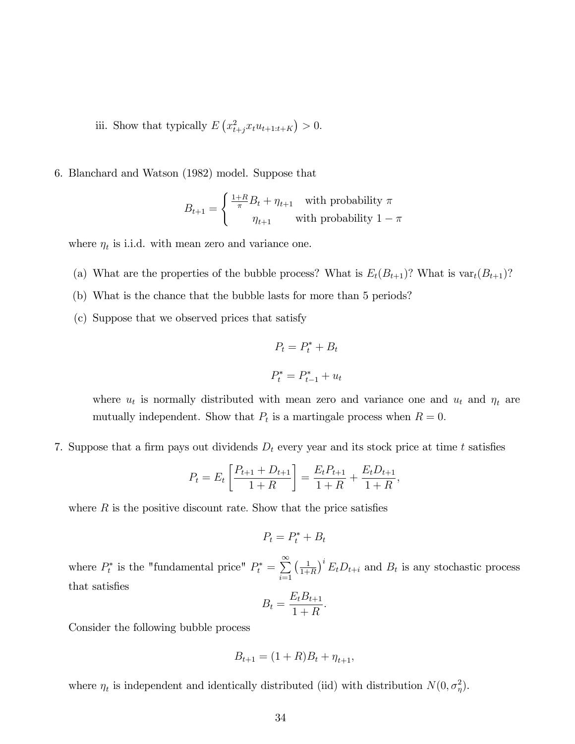iii. Show that typically  $E\left(x_{t+j}^2 x_t u_{t+1:t+K}\right) > 0$ .

6. Blanchard and Watson (1982) model. Suppose that

$$
B_{t+1} = \begin{cases} \frac{1+R}{\pi}B_t + \eta_{t+1} & \text{with probability } \pi \\ \eta_{t+1} & \text{with probability } 1-\pi \end{cases}
$$

where  $\eta_t$  is i.i.d. with mean zero and variance one.

- (a) What are the properties of the bubble process? What is  $E_t(B_{t+1})$ ? What is var $_t(B_{t+1})$ ?
- (b) What is the chance that the bubble lasts for more than 5 periods?
- (c) Suppose that we observed prices that satisfy

$$
P_t = P_t^* + B_t
$$

$$
P_t^* = P_{t-1}^* + u_t
$$

where  $u_t$  is normally distributed with mean zero and variance one and  $u_t$  and  $\eta_t$  are mutually independent. Show that  $P_t$  is a martingale process when  $R = 0$ .

7. Suppose that a firm pays out dividends  $D_t$  every year and its stock price at time t satisfies

$$
P_t = E_t \left[ \frac{P_{t+1} + D_{t+1}}{1 + R} \right] = \frac{E_t P_{t+1}}{1 + R} + \frac{E_t D_{t+1}}{1 + R},
$$

where  $R$  is the positive discount rate. Show that the price satisfies

$$
P_t = P_t^* + B_t
$$

where  $P_t^*$  is the "fundamental price"  $P_t^* = \sum_{n=1}^{\infty}$  $i=1$  $\left(\frac{1}{1}\right)$  $\frac{1}{1+R}$ <sup>i</sup>  $E_t D_{t+i}$  and  $B_t$  is any stochastic process that satisfies

$$
B_t = \frac{E_t B_{t+1}}{1+R}.
$$

Consider the following bubble process

$$
B_{t+1} = (1+R)B_t + \eta_{t+1},
$$

where  $\eta_t$  is independent and identically distributed (iid) with distribution  $N(0, \sigma_\eta^2)$ .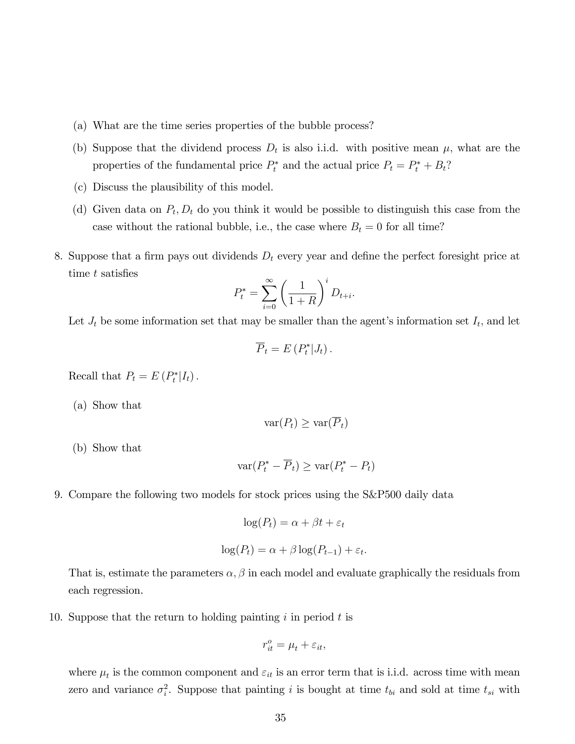- (a) What are the time series properties of the bubble process?
- (b) Suppose that the dividend process  $D_t$  is also i.i.d. with positive mean  $\mu$ , what are the properties of the fundamental price  $P_t^*$  and the actual price  $P_t = P_t^* + B_t$ ?
- (c) Discuss the plausibility of this model.
- (d) Given data on  $P_t$ ,  $D_t$  do you think it would be possible to distinguish this case from the case without the rational bubble, i.e., the case where  $B_t = 0$  for all time?
- 8. Suppose that a firm pays out dividends  $D_t$  every year and define the perfect foresight price at time  $t$  satisfies

$$
P_t^* = \sum_{i=0}^{\infty} \left(\frac{1}{1+R}\right)^i D_{t+i}.
$$

Let  $J_t$  be some information set that may be smaller than the agent's information set  $I_t$ , and let

$$
\overline{P}_t = E(P_t^*|J_t).
$$

Recall that  $P_t = E(P_t^* | I_t)$ .

(a) Show that

$$
\text{var}(P_t) \geq \text{var}(\overline{P}_t)
$$

(b) Show that

$$
\text{var}(P_t^* - \overline{P}_t) \ge \text{var}(P_t^* - P_t)
$$

9. Compare the following two models for stock prices using the S&P500 daily data

$$
\log(P_t) = \alpha + \beta t + \varepsilon_t
$$

$$
\log(P_t) = \alpha + \beta \log(P_{t-1}) + \varepsilon_t.
$$

That is, estimate the parameters  $\alpha$ ,  $\beta$  in each model and evaluate graphically the residuals from each regression.

10. Suppose that the return to holding painting  $i$  in period  $t$  is

$$
r_{it}^o = \mu_t + \varepsilon_{it},
$$

where  $\mu_t$  is the common component and  $\varepsilon_{it}$  is an error term that is i.i.d. across time with mean zero and variance  $\sigma_i^2$ . Suppose that painting i is bought at time  $t_{bi}$  and sold at time  $t_{si}$  with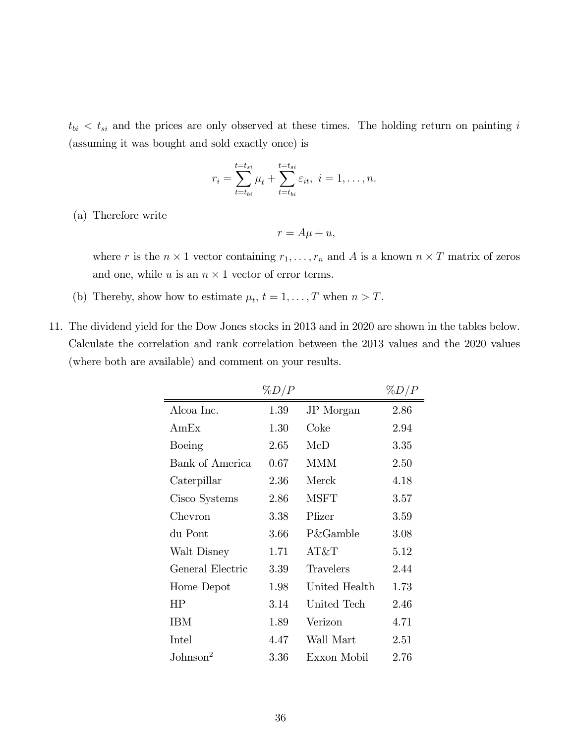$t_{bi} < t_{si}$  and the prices are only observed at these times. The holding return on painting i (assuming it was bought and sold exactly once) is

$$
r_i = \sum_{t=t_{bi}}^{t=t_{si}} \mu_t + \sum_{t=t_{bi}}^{t=t_{si}} \varepsilon_{it}, \ i = 1, \dots, n.
$$

(a) Therefore write

$$
r = A\mu + u,
$$

where r is the  $n \times 1$  vector containing  $r_1, \ldots, r_n$  and A is a known  $n \times T$  matrix of zeros and one, while u is an  $n \times 1$  vector of error terms.

- (b) Thereby, show how to estimate  $\mu_t$ ,  $t = 1, \ldots, T$  when  $n > T$ .
- 11. The dividend yield for the Dow Jones stocks in 2013 and in 2020 are shown in the tables below. Calculate the correlation and rank correlation between the 2013 values and the 2020 values (where both are available) and comment on your results.

|                      | $\%D/P$ |                     | $\%D/P$ |
|----------------------|---------|---------------------|---------|
| Alcoa Inc.           | 1.39    | JP Morgan           | 2.86    |
| AmEx                 | 1.30    | Coke                | 2.94    |
| Boeing               | 2.65    | McD                 | 3.35    |
| Bank of America      | 0.67    | <b>MMM</b>          | 2.50    |
| Caterpillar          | 2.36    | Merck               | 4.18    |
| Cisco Systems        | 2.86    | <b>MSFT</b>         | 3.57    |
| Chevron              | 3.38    | Pfizer              | 3.59    |
| du Pont              | 3.66    | <b>P&amp;Gamble</b> | 3.08    |
| Walt Disney          | 1.71    | AT&T                | 5.12    |
| General Electric     | 3.39    | Travelers           | 2.44    |
| Home Depot           | 1.98    | United Health       | 1.73    |
| HP                   | 3.14    | United Tech         | 2.46    |
| IBM                  | 1.89    | Verizon             | 4.71    |
| Intel                | 4.47    | Wall Mart           | 2.51    |
| Johnson <sup>2</sup> | 3.36    | Exxon Mobil         | 2.76    |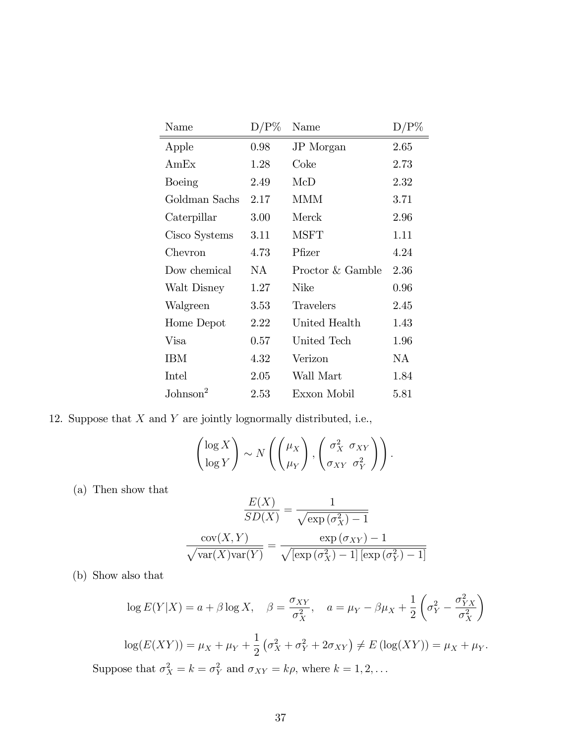| Name                 | $D/P\%$  | Name             | $D/P\%$ |
|----------------------|----------|------------------|---------|
| Apple                | 0.98     | JP Morgan        | 2.65    |
| AmEx                 | 1.28     | Coke             | 2.73    |
| Boeing               | 2.49     | McD              | 2.32    |
| Goldman Sachs        | 2.17     | <b>MMM</b>       | 3.71    |
| Caterpillar          | 3.00     | Merck            | 2.96    |
| Cisco Systems        | 3.11     | <b>MSFT</b>      | 1.11    |
| Chevron              | 4.73     | Pfizer           | 4.24    |
| Dow chemical         | NA       | Proctor & Gamble | 2.36    |
| Walt Disney          | 1.27     | Nike             | 0.96    |
| Walgreen             | $3.53\,$ | Travelers        | 2.45    |
| Home Depot           | 2.22     | United Health    | 1.43    |
| Visa                 | 0.57     | United Tech      | 1.96    |
| IBM                  | 4.32     | Verizon          | NA.     |
| Intel                | 2.05     | Wall Mart        | 1.84    |
| $\mathrm{Johnson}^2$ | 2.53     | Exxon Mobil      | 5.81    |

12. Suppose that  $X$  and  $Y$  are jointly lognormally distributed, i.e.,

$$
\begin{pmatrix} \log X \\ \log Y \end{pmatrix} \sim N \left( \begin{pmatrix} \mu_X \\ \mu_Y \end{pmatrix}, \begin{pmatrix} \sigma_X^2 & \sigma_{XY} \\ \sigma_{XY} & \sigma_Y^2 \end{pmatrix} \right).
$$

(a) Then show that

$$
\frac{E(X)}{SD(X)} = \frac{1}{\sqrt{\exp{(\sigma_X^2)} - 1}}
$$

$$
\frac{\text{cov}(X, Y)}{\sqrt{\text{var}(X)\text{var}(Y)}} = \frac{\exp{(\sigma_{XY}) - 1}}{\sqrt{[\exp{(\sigma_X^2)} - 1][\exp{(\sigma_Y^2)} - 1]}}
$$

(b) Show also that

$$
\log E(Y|X) = a + \beta \log X, \quad \beta = \frac{\sigma_{XY}}{\sigma_X^2}, \quad a = \mu_Y - \beta \mu_X + \frac{1}{2} \left( \sigma_Y^2 - \frac{\sigma_{YX}^2}{\sigma_X^2} \right)
$$

$$
\log(E(XY)) = \mu_X + \mu_Y + \frac{1}{2} \left( \sigma_X^2 + \sigma_Y^2 + 2\sigma_{XY} \right) \neq E \left( \log(XY) \right) = \mu_X + \mu_Y.
$$
  
Suppose that  $\sigma_X^2 = k = \sigma_Y^2$  and  $\sigma_{XY} = k\rho$ , where  $k = 1, 2, ...$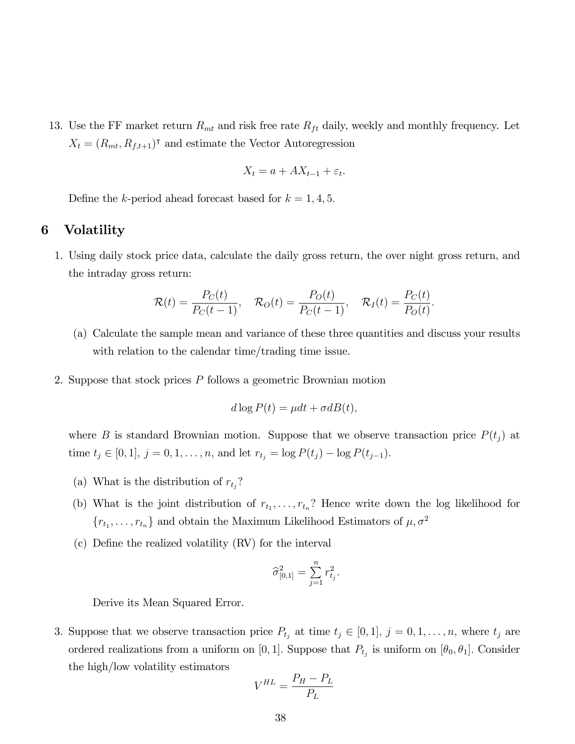13. Use the FF market return  $R_{mt}$  and risk free rate  $R_{ft}$  daily, weekly and monthly frequency. Let  $X_t = (R_{mt}, R_{f,t+1})^{\dagger}$  and estimate the Vector Autoregression

$$
X_t = a + AX_{t-1} + \varepsilon_t.
$$

Define the k-period ahead forecast based for  $k = 1, 4, 5$ .

#### 6 Volatility

1. Using daily stock price data, calculate the daily gross return, the over night gross return, and the intraday gross return:

$$
\mathcal{R}(t)=\frac{P_C(t)}{P_C(t-1)}, \quad \mathcal{R}_O(t)=\frac{P_O(t)}{P_C(t-1)}, \quad \mathcal{R}_I(t)=\frac{P_C(t)}{P_O(t)}.
$$

- (a) Calculate the sample mean and variance of these three quantities and discuss your results with relation to the calendar time/trading time issue.
- 2. Suppose that stock prices P follows a geometric Brownian motion

$$
d\log P(t) = \mu dt + \sigma dB(t),
$$

where B is standard Brownian motion. Suppose that we observe transaction price  $P(t_j)$  at time  $t_j \in [0, 1], j = 0, 1, \ldots, n$ , and let  $r_{t_j} = \log P(t_j) - \log P(t_{j-1}).$ 

- (a) What is the distribution of  $r_{t_j}$ ?
- (b) What is the joint distribution of  $r_{t_1}, \ldots, r_{t_n}$ ? Hence write down the log likelihood for  ${r_{t_1}, \ldots, r_{t_n}}$  and obtain the Maximum Likelihood Estimators of  $\mu, \sigma^2$
- (c) DeÖne the realized volatility (RV) for the interval

$$
\widehat{\sigma}_{[0,1]}^2 = \sum_{j=1}^n r_{t_j}^2.
$$

Derive its Mean Squared Error.

3. Suppose that we observe transaction price  $P_{t_j}$  at time  $t_j \in [0,1], j = 0,1,\ldots,n$ , where  $t_j$  are ordered realizations from a uniform on [0, 1]. Suppose that  $P_{t_j}$  is uniform on  $[\theta_0, \theta_1]$ . Consider the high/low volatility estimators

$$
V^{HL} = \frac{P_H - P_L}{P_L}
$$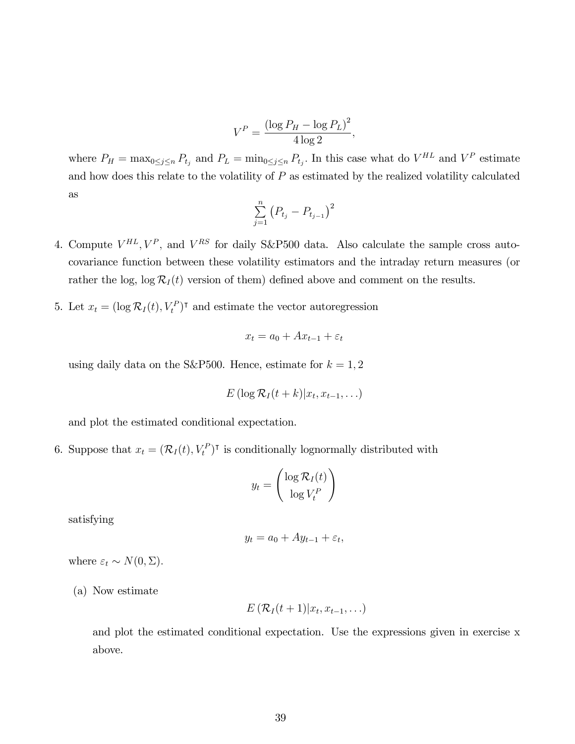$$
V^P = \frac{\left(\log P_H - \log P_L\right)^2}{4\log 2},
$$

where  $P_H = \max_{0 \le j \le n} P_{t_j}$  and  $P_L = \min_{0 \le j \le n} P_{t_j}$ . In this case what do  $V^{HL}$  and  $V^P$  estimate and how does this relate to the volatility of  $P$  as estimated by the realized volatility calculated as

$$
\sum_{j=1}^{n} (P_{t_j} - P_{t_{j-1}})^2
$$

- 4. Compute  $V^{HL}$ ,  $V^P$ , and  $V^{RS}$  for daily S&P500 data. Also calculate the sample cross autocovariance function between these volatility estimators and the intraday return measures (or rather the log,  $\log R_I(t)$  version of them) defined above and comment on the results.
- 5. Let  $x_t = (\log \mathcal{R}_I(t), V_t^P)^\intercal$  and estimate the vector autoregression

$$
x_t = a_0 + Ax_{t-1} + \varepsilon_t
$$

using daily data on the S&P500. Hence, estimate for  $k = 1, 2$ 

$$
E\left(\log \mathcal{R}_I(t+k)|x_t,x_{t-1},\ldots\right)
$$

and plot the estimated conditional expectation.

6. Suppose that  $x_t = (\mathcal{R}_I(t), V_t^P)^\intercal$  is conditionally lognormally distributed with

$$
y_t = \begin{pmatrix} \log \mathcal{R}_I(t) \\ \log V_t^P \end{pmatrix}
$$

satisfying

$$
y_t = a_0 + Ay_{t-1} + \varepsilon_t,
$$

where  $\varepsilon_t \sim N(0, \Sigma)$ .

(a) Now estimate

$$
E\left(\mathcal{R}_I(t+1)|x_t,x_{t-1},\ldots\right)
$$

and plot the estimated conditional expectation. Use the expressions given in exercise x above.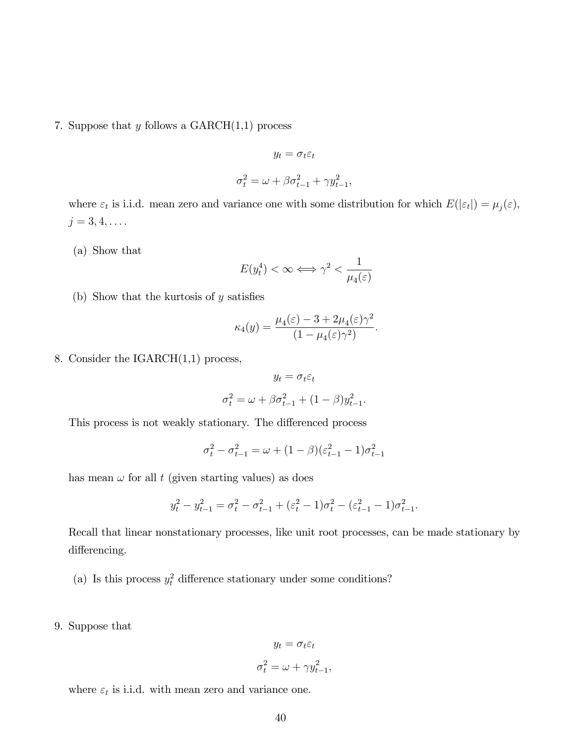7. Suppose that  $y$  follows a  $GARCH(1,1)$  process

$$
y_t = \sigma_t \varepsilon_t
$$
  

$$
\sigma_t^2 = \omega + \beta \sigma_{t-1}^2 + \gamma y_{t-1}^2,
$$

where  $\varepsilon_t$  is i.i.d. mean zero and variance one with some distribution for which  $E(|\varepsilon_t|) = \mu_j(\varepsilon)$ ,  $j = 3, 4, \ldots$ .

(a) Show that

$$
E(y_t^4) < \infty \Longleftrightarrow \gamma^2 < \frac{1}{\mu_4(\varepsilon)}
$$

(b) Show that the kurtosis of  $y$  satisfies

$$
\kappa_4(y) = \frac{\mu_4(\varepsilon) - 3 + 2\mu_4(\varepsilon)\gamma^2}{(1 - \mu_4(\varepsilon)\gamma^2)}.
$$

8. Consider the IGARCH(1,1) process,

$$
y_t = \sigma_t \varepsilon_t
$$

$$
\sigma_t^2 = \omega + \beta \sigma_{t-1}^2 + (1 - \beta) y_{t-1}^2.
$$

This process is not weakly stationary. The differenced process

$$
\sigma_t^2 - \sigma_{t-1}^2 = \omega + (1 - \beta)(\varepsilon_{t-1}^2 - 1)\sigma_{t-1}^2
$$

has mean  $\omega$  for all t (given starting values) as does

$$
y_t^2 - y_{t-1}^2 = \sigma_t^2 - \sigma_{t-1}^2 + (\varepsilon_t^2 - 1)\sigma_t^2 - (\varepsilon_{t-1}^2 - 1)\sigma_{t-1}^2.
$$

Recall that linear nonstationary processes, like unit root processes, can be made stationary by differencing.

- (a) Is this process  $y_t^2$  difference stationary under some conditions?
- 9. Suppose that

$$
y_t = \sigma_t \varepsilon_t
$$

$$
\sigma_t^2 = \omega + \gamma y_{t-1}^2,
$$

where  $\varepsilon_t$  is i.i.d. with mean zero and variance one.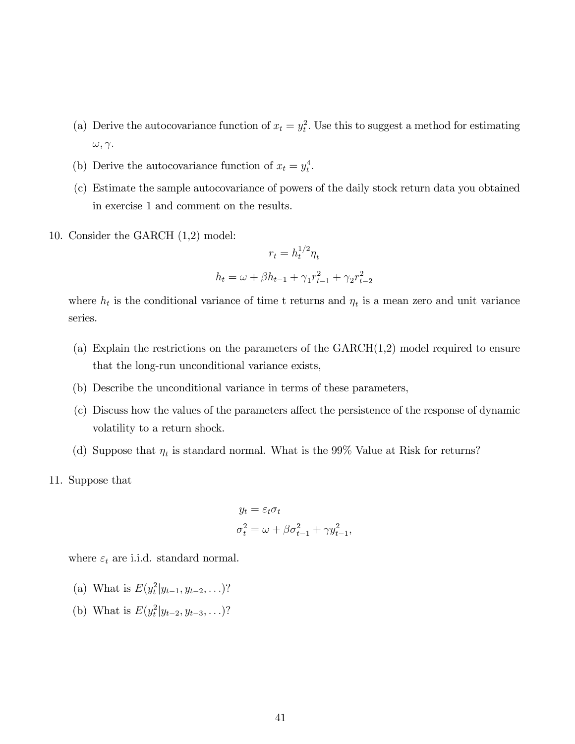- (a) Derive the autocovariance function of  $x_t = y_t^2$ . Use this to suggest a method for estimating  $\omega, \gamma.$
- (b) Derive the autocovariance function of  $x_t = y_t^4$ .
- (c) Estimate the sample autocovariance of powers of the daily stock return data you obtained in exercise 1 and comment on the results.
- 10. Consider the GARCH (1,2) model:

$$
r_t = h_t^{1/2} \eta_t
$$

$$
h_t = \omega + \beta h_{t-1} + \gamma_1 r_{t-1}^2 + \gamma_2 r_{t-2}^2
$$

where  $h_t$  is the conditional variance of time t returns and  $\eta_t$  is a mean zero and unit variance series.

- (a) Explain the restrictions on the parameters of the GARCH(1,2) model required to ensure that the long-run unconditional variance exists,
- (b) Describe the unconditional variance in terms of these parameters,
- (c) Discuss how the values of the parameters a§ect the persistence of the response of dynamic volatility to a return shock.
- (d) Suppose that  $\eta_t$  is standard normal. What is the 99% Value at Risk for returns?
- 11. Suppose that

$$
y_t = \varepsilon_t \sigma_t
$$
  

$$
\sigma_t^2 = \omega + \beta \sigma_{t-1}^2 + \gamma y_{t-1}^2,
$$

where  $\varepsilon_t$  are i.i.d. standard normal.

- (a) What is  $E(y_t^2|y_{t-1}, y_{t-2}, \ldots)$ ?
- (b) What is  $E(y_t^2|y_{t-2}, y_{t-3}, \ldots)$ ?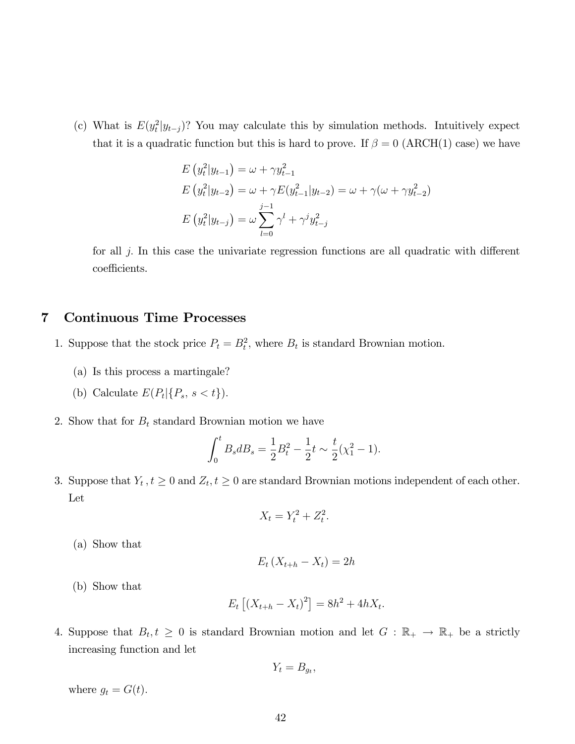(c) What is  $E(y_t^2|y_{t-j})$ ? You may calculate this by simulation methods. Intuitively expect that it is a quadratic function but this is hard to prove. If  $\beta = 0$  (ARCH(1) case) we have

$$
E(y_t^2|y_{t-1}) = \omega + \gamma y_{t-1}^2
$$
  
\n
$$
E(y_t^2|y_{t-2}) = \omega + \gamma E(y_{t-1}^2|y_{t-2}) = \omega + \gamma(\omega + \gamma y_{t-2}^2)
$$
  
\n
$$
E(y_t^2|y_{t-j}) = \omega \sum_{l=0}^{j-1} \gamma^l + \gamma^j y_{t-j}^2
$$

for all  $j$ . In this case the univariate regression functions are all quadratic with different coefficients.

## 7 Continuous Time Processes

- 1. Suppose that the stock price  $P_t = B_t^2$ , where  $B_t$  is standard Brownian motion.
	- (a) Is this process a martingale?
	- (b) Calculate  $E(P_t | \{P_s, s < t\})$ .
- 2. Show that for  $B_t$  standard Brownian motion we have

$$
\int_0^t B_s dB_s = \frac{1}{2}B_t^2 - \frac{1}{2}t \sim \frac{t}{2}(\chi_1^2 - 1).
$$

3. Suppose that  $Y_t$ ,  $t \geq 0$  and  $Z_t$ ,  $t \geq 0$  are standard Brownian motions independent of each other. Let

$$
X_t = Y_t^2 + Z_t^2.
$$

(a) Show that

$$
E_t\left(X_{t+h}-X_t\right)=2h
$$

(b) Show that

$$
E_t [(X_{t+h} - X_t)^2] = 8h^2 + 4hX_t.
$$

4. Suppose that  $B_t, t \geq 0$  is standard Brownian motion and let  $G : \mathbb{R}_+ \to \mathbb{R}_+$  be a strictly increasing function and let

$$
Y_t = B_{g_t},
$$

where  $g_t = G(t)$ .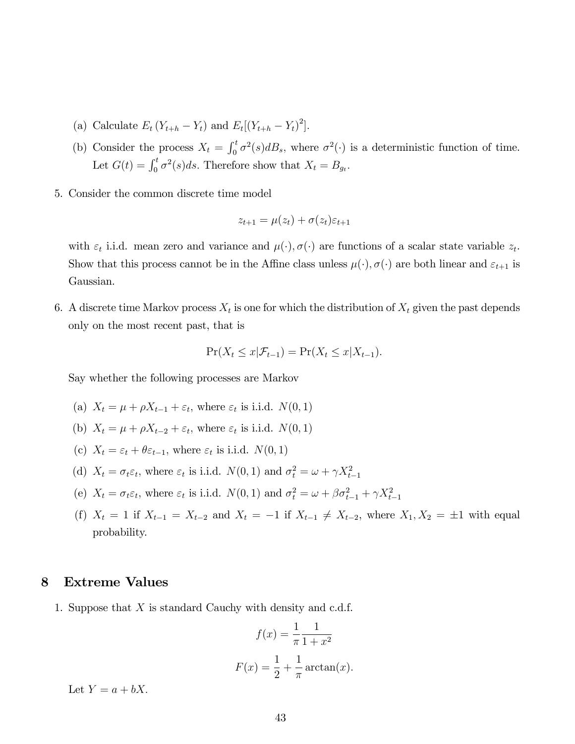- (a) Calculate  $E_t(Y_{t+h} Y_t)$  and  $E_t[(Y_{t+h} Y_t)^2]$ .
- (b) Consider the process  $X_t = \int_0^t \sigma^2(s) dB_s$ , where  $\sigma^2(\cdot)$  is a deterministic function of time. Let  $G(t) = \int_0^t \sigma^2(s)ds$ . Therefore show that  $X_t = B_{g_t}$ .
- 5. Consider the common discrete time model

$$
z_{t+1} = \mu(z_t) + \sigma(z_t)\varepsilon_{t+1}
$$

with  $\varepsilon_t$  i.i.d. mean zero and variance and  $\mu(\cdot), \sigma(\cdot)$  are functions of a scalar state variable  $z_t$ . Show that this process cannot be in the Affine class unless  $\mu(\cdot), \sigma(\cdot)$  are both linear and  $\varepsilon_{t+1}$  is Gaussian.

6. A discrete time Markov process  $X_t$  is one for which the distribution of  $X_t$  given the past depends only on the most recent past, that is

$$
\Pr(X_t \le x | \mathcal{F}_{t-1}) = \Pr(X_t \le x | X_{t-1}).
$$

Say whether the following processes are Markov

- (a)  $X_t = \mu + \rho X_{t-1} + \varepsilon_t$ , where  $\varepsilon_t$  is i.i.d.  $N(0, 1)$
- (b)  $X_t = \mu + \rho X_{t-2} + \varepsilon_t$ , where  $\varepsilon_t$  is i.i.d.  $N(0, 1)$
- (c)  $X_t = \varepsilon_t + \theta \varepsilon_{t-1}$ , where  $\varepsilon_t$  is i.i.d.  $N(0, 1)$
- (d)  $X_t = \sigma_t \varepsilon_t$ , where  $\varepsilon_t$  is i.i.d.  $N(0, 1)$  and  $\sigma_t^2 = \omega + \gamma X_{t-1}^2$
- (e)  $X_t = \sigma_t \varepsilon_t$ , where  $\varepsilon_t$  is i.i.d.  $N(0, 1)$  and  $\sigma_t^2 = \omega + \beta \sigma_{t-1}^2 + \gamma X_{t-1}^2$
- (f)  $X_t = 1$  if  $X_{t-1} = X_{t-2}$  and  $X_t = -1$  if  $X_{t-1} \neq X_{t-2}$ , where  $X_1, X_2 = \pm 1$  with equal probability.

#### 8 Extreme Values

1. Suppose that X is standard Cauchy with density and c.d.f.

$$
f(x) = \frac{1}{\pi} \frac{1}{1+x^2}
$$

$$
F(x) = \frac{1}{2} + \frac{1}{\pi} \arctan(x).
$$

Let  $Y = a + bX$ .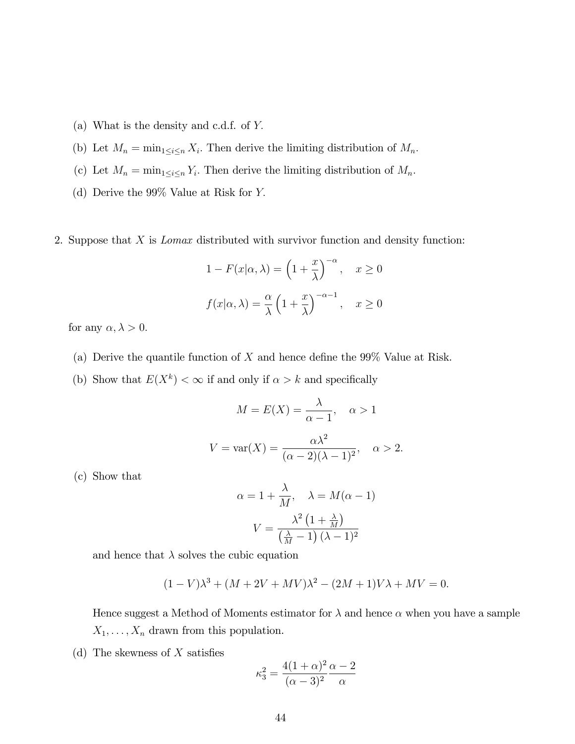- (a) What is the density and c.d.f. of Y:
- (b) Let  $M_n = \min_{1 \leq i \leq n} X_i$ . Then derive the limiting distribution of  $M_n$ .
- (c) Let  $M_n = \min_{1 \leq i \leq n} Y_i$ . Then derive the limiting distribution of  $M_n$ .
- (d) Derive the 99% Value at Risk for Y:

2. Suppose that X is Lomax distributed with survivor function and density function:

$$
1 - F(x|\alpha, \lambda) = \left(1 + \frac{x}{\lambda}\right)^{-\alpha}, \quad x \ge 0
$$
  

$$
f(x|\alpha, \lambda) = \frac{\alpha}{\lambda} \left(1 + \frac{x}{\lambda}\right)^{-\alpha - 1}, \quad x \ge 0
$$

for any  $\alpha, \lambda > 0$ .

- (a) Derive the quantile function of  $X$  and hence define the 99% Value at Risk.
- (b) Show that  $E(X^k) < \infty$  if and only if  $\alpha > k$  and specifically

$$
M = E(X) = \frac{\lambda}{\alpha - 1}, \quad \alpha > 1
$$

$$
V = \text{var}(X) = \frac{\alpha \lambda^2}{(\alpha - 2)(\lambda - 1)^2}, \quad \alpha > 2.
$$

(c) Show that

$$
\alpha = 1 + \frac{\lambda}{M}, \quad \lambda = M(\alpha - 1)
$$

$$
V = \frac{\lambda^2 (1 + \frac{\lambda}{M})}{(\frac{\lambda}{M} - 1)(\lambda - 1)^2}
$$

and hence that  $\lambda$  solves the cubic equation

$$
(1 - V)\lambda^{3} + (M + 2V + MV)\lambda^{2} - (2M + 1)V\lambda + MV = 0.
$$

Hence suggest a Method of Moments estimator for  $\lambda$  and hence  $\alpha$  when you have a sample  $X_1, \ldots, X_n$  drawn from this population.

(d) The skewness of  $X$  satisfies

$$
\kappa_3^2 = \frac{4(1+\alpha)^2}{(\alpha-3)^2} \frac{\alpha-2}{\alpha}
$$